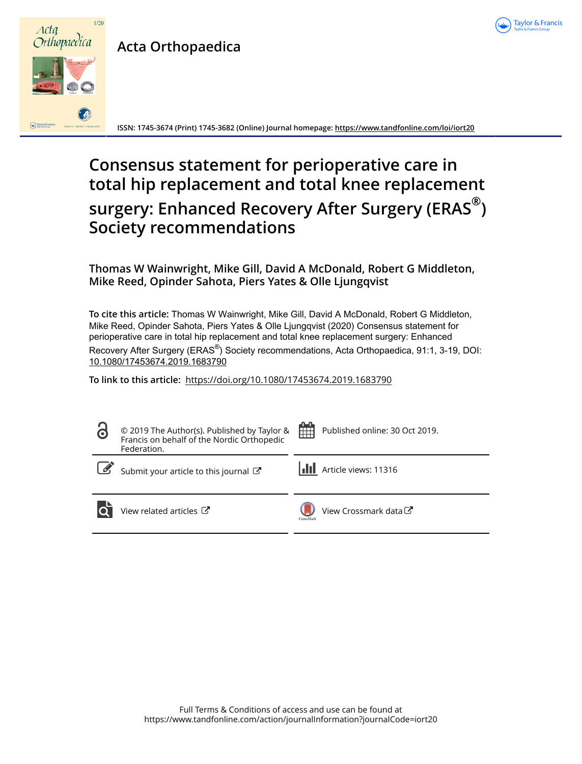

# **Acta Orthopaedica**



**ISSN: 1745-3674 (Print) 1745-3682 (Online) Journal homepage:<https://www.tandfonline.com/loi/iort20>**

# **Consensus statement for perioperative care in total hip replacement and total knee replacement surgery: Enhanced Recovery After Surgery (ERAS® ) Society recommendations**

**Thomas W Wainwright, Mike Gill, David A McDonald, Robert G Middleton, Mike Reed, Opinder Sahota, Piers Yates & Olle Ljungqvist**

**To cite this article:** Thomas W Wainwright, Mike Gill, David A McDonald, Robert G Middleton, Mike Reed, Opinder Sahota, Piers Yates & Olle Ljungqvist (2020) Consensus statement for perioperative care in total hip replacement and total knee replacement surgery: Enhanced Recovery After Surgery (ERAS<sup>®</sup>) Society recommendations, Acta Orthopaedica, 91:1, 3-19, DOI: [10.1080/17453674.2019.1683790](https://www.tandfonline.com/action/showCitFormats?doi=10.1080/17453674.2019.1683790)

**To link to this article:** <https://doi.org/10.1080/17453674.2019.1683790>

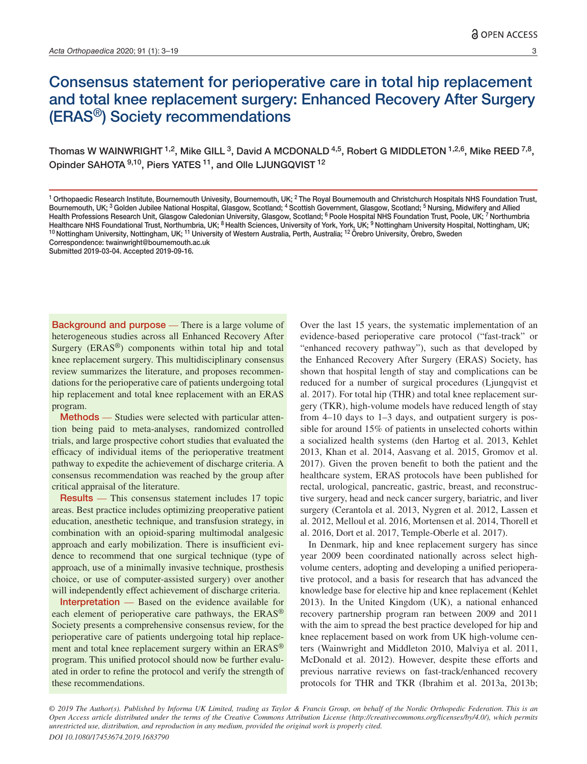# Consensus statement for perioperative care in total hip replacement and total knee replacement surgery: Enhanced Recovery After Surgery (ERAS®) Society recommendations

Thomas W WAINWRIGHT <sup>1,2</sup>, Mike GILL <sup>3</sup>, David A MCDONALD <sup>4,5</sup>, Robert G MIDDLETON <sup>1,2,6</sup>, Mike REED <sup>7,8</sup>, Opinder SAHOTA <sup>9,10</sup>, Piers YATES <sup>11</sup>, and Olle LJUNGQVIST <sup>12</sup>

Submitted 2019-03-04. Accepted 2019-09-16.

Background and purpose — There is a large volume of heterogeneous studies across all Enhanced Recovery After Surgery (ERAS®) components within total hip and total knee replacement surgery. This multidisciplinary consensus review summarizes the literature, and proposes recommendations for the perioperative care of patients undergoing total hip replacement and total knee replacement with an ERAS program.

Methods — Studies were selected with particular attention being paid to meta-analyses, randomized controlled trials, and large prospective cohort studies that evaluated the efficacy of individual items of the perioperative treatment pathway to expedite the achievement of discharge criteria. A consensus recommendation was reached by the group after critical appraisal of the literature.

Results — This consensus statement includes 17 topic areas. Best practice includes optimizing preoperative patient education, anesthetic technique, and transfusion strategy, in combination with an opioid-sparing multimodal analgesic approach and early mobilization. There is insufficient evidence to recommend that one surgical technique (type of approach, use of a minimally invasive technique, prosthesis choice, or use of computer-assisted surgery) over another will independently effect achievement of discharge criteria.

Interpretation — Based on the evidence available for each element of perioperative care pathways, the ERAS® Society presents a comprehensive consensus review, for the perioperative care of patients undergoing total hip replacement and total knee replacement surgery within an ERAS® program. This unified protocol should now be further evaluated in order to refine the protocol and verify the strength of these recommendations.

Over the last 15 years, the systematic implementation of an evidence-based perioperative care protocol ("fast-track" or "enhanced recovery pathway"), such as that developed by the Enhanced Recovery After Surgery (ERAS) Society, has shown that hospital length of stay and complications can be reduced for a number of surgical procedures (Ljungqvist et al. 2017). For total hip (THR) and total knee replacement surgery (TKR), high-volume models have reduced length of stay from 4–10 days to 1–3 days, and outpatient surgery is possible for around 15% of patients in unselected cohorts within a socialized health systems (den Hartog et al. 2013, Kehlet 2013, Khan et al. 2014, Aasvang et al. 2015, Gromov et al. 2017). Given the proven benefit to both the patient and the healthcare system, ERAS protocols have been published for rectal, urological, pancreatic, gastric, breast, and reconstructive surgery, head and neck cancer surgery, bariatric, and liver surgery (Cerantola et al. 2013, Nygren et al. 2012, Lassen et al. 2012, Melloul et al. 2016, Mortensen et al. 2014, Thorell et al. 2016, Dort et al. 2017, Temple-Oberle et al. 2017).

In Denmark, hip and knee replacement surgery has since year 2009 been coordinated nationally across select highvolume centers, adopting and developing a unified perioperative protocol, and a basis for research that has advanced the knowledge base for elective hip and knee replacement (Kehlet 2013). In the United Kingdom (UK), a national enhanced recovery partnership program ran between 2009 and 2011 with the aim to spread the best practice developed for hip and knee replacement based on work from UK high-volume centers (Wainwright and Middleton 2010, Malviya et al. 2011, McDonald et al. 2012). However, despite these efforts and previous narrative reviews on fast-track/enhanced recovery protocols for THR and TKR (Ibrahim et al. 2013a, 2013b;

*© 2019 The Author(s). Published by Informa UK Limited, trading as Taylor & Francis Group, on behalf of the Nordic Orthopedic Federation. This is an Open Access article distributed under the terms of the Creative Commons Attribution License (http://creativecommons.org/licenses/by/4.0/), which permits unrestricted use, distribution, and reproduction in any medium, provided the original work is properly cited. DOI 10.1080/17453674.2019.1683790*

<sup>&</sup>lt;sup>1</sup> Orthopaedic Research Institute, Bournemouth Univesity, Bournemouth, UK; <sup>2</sup> The Royal Bournemouth and Christchurch Hospitals NHS Foundation Trust, Bournemouth, UK; <sup>3</sup> Golden Jubilee National Hospital, Glasgow, Scotland; <sup>4</sup> Scottish Government, Glasgow, Scotland; <sup>5</sup> Nursing, Midwifery and Allied Health Professions Research Unit, Glasgow Caledonian University, Glasgow, Scotland; <sup>6</sup> Poole Hospital NHS Foundation Trust, Poole, UK; 7 Northumbria Healthcare NHS Foundational Trust, Northumbria, UK; <sup>8</sup> Health Sciences, University of York, York, UK; <sup>9</sup> Nottingham University Hospital, Nottingham, UK; <sup>10</sup> Nottingham University, Nottingham, UK; <sup>11</sup> University of Western Australia, Perth, Australia; <sup>12</sup> Örebro University, Örebro, Sweden Correspondence: twainwright@bournemouth.ac.uk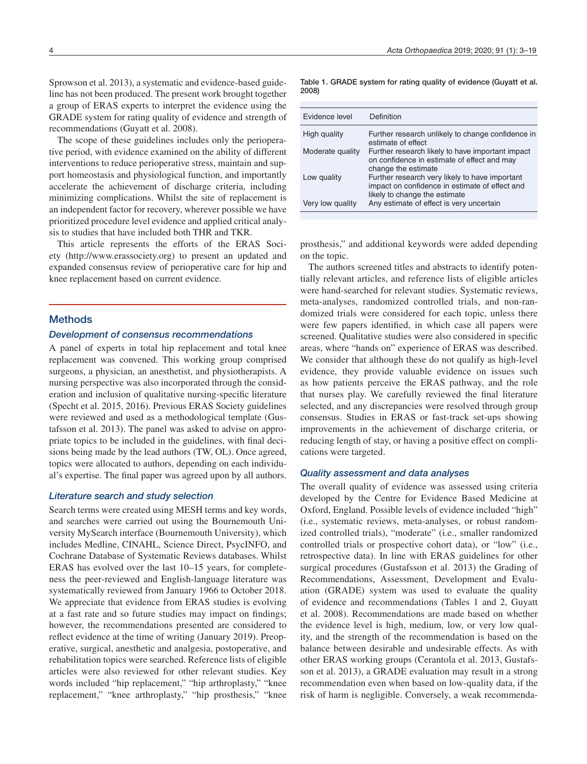Sprowson et al. 2013), a systematic and evidence-based guideline has not been produced. The present work brought together a group of ERAS experts to interpret the evidence using the GRADE system for rating quality of evidence and strength of recommendations (Guyatt et al. 2008).

The scope of these guidelines includes only the perioperative period, with evidence examined on the ability of different interventions to reduce perioperative stress, maintain and support homeostasis and physiological function, and importantly accelerate the achievement of discharge criteria, including minimizing complications. Whilst the site of replacement is an independent factor for recovery, wherever possible we have prioritized procedure level evidence and applied critical analysis to studies that have included both THR and TKR.

This article represents the efforts of the ERAS Society (http://www.erassociety.org) to present an updated and expanded consensus review of perioperative care for hip and knee replacement based on current evidence.

### **Methods**

# *Development of consensus recommendations*

A panel of experts in total hip replacement and total knee replacement was convened. This working group comprised surgeons, a physician, an anesthetist, and physiotherapists. A nursing perspective was also incorporated through the consideration and inclusion of qualitative nursing-specific literature (Specht et al. 2015, 2016). Previous ERAS Society guidelines were reviewed and used as a methodological template (Gustafsson et al. 2013). The panel was asked to advise on appropriate topics to be included in the guidelines, with final decisions being made by the lead authors (TW, OL). Once agreed, topics were allocated to authors, depending on each individual's expertise. The final paper was agreed upon by all authors.

#### *Literature search and study selection*

Search terms were created using MESH terms and key words, and searches were carried out using the Bournemouth University MySearch interface (Bournemouth University), which includes Medline, CINAHL, Science Direct, PsycINFO, and Cochrane Database of Systematic Reviews databases. Whilst ERAS has evolved over the last 10–15 years, for completeness the peer-reviewed and English-language literature was systematically reviewed from January 1966 to October 2018. We appreciate that evidence from ERAS studies is evolving at a fast rate and so future studies may impact on findings; however, the recommendations presented are considered to reflect evidence at the time of writing (January 2019). Preoperative, surgical, anesthetic and analgesia, postoperative, and rehabilitation topics were searched. Reference lists of eligible articles were also reviewed for other relevant studies. Key words included "hip replacement," "hip arthroplasty," "knee replacement," "knee arthroplasty," "hip prosthesis," "knee

Table 1. GRADE system for rating quality of evidence (Guyatt et al. 2008)

| Evidence level   | Definition                                                                                                                        |
|------------------|-----------------------------------------------------------------------------------------------------------------------------------|
| High quality     | Further research unlikely to change confidence in<br>estimate of effect                                                           |
| Moderate quality | Further research likely to have important impact<br>on confidence in estimate of effect and may<br>change the estimate            |
| Low quality      | Further research very likely to have important<br>impact on confidence in estimate of effect and<br>likely to change the estimate |
| Very low quality | Any estimate of effect is very uncertain                                                                                          |

prosthesis," and additional keywords were added depending on the topic.

The authors screened titles and abstracts to identify potentially relevant articles, and reference lists of eligible articles were hand-searched for relevant studies. Systematic reviews, meta-analyses, randomized controlled trials, and non-randomized trials were considered for each topic, unless there were few papers identified, in which case all papers were screened. Qualitative studies were also considered in specific areas, where "hands on" experience of ERAS was described. We consider that although these do not qualify as high-level evidence, they provide valuable evidence on issues such as how patients perceive the ERAS pathway, and the role that nurses play. We carefully reviewed the final literature selected, and any discrepancies were resolved through group consensus. Studies in ERAS or fast-track set-ups showing improvements in the achievement of discharge criteria, or reducing length of stay, or having a positive effect on complications were targeted.

#### *Quality assessment and data analyses*

The overall quality of evidence was assessed using criteria developed by the Centre for Evidence Based Medicine at Oxford, England. Possible levels of evidence included "high" (i.e., systematic reviews, meta-analyses, or robust randomized controlled trials), "moderate" (i.e., smaller randomized controlled trials or prospective cohort data), or "low" (i.e., retrospective data). In line with ERAS guidelines for other surgical procedures (Gustafsson et al. 2013) the Grading of Recommendations, Assessment, Development and Evaluation (GRADE) system was used to evaluate the quality of evidence and recommendations (Tables 1 and 2, Guyatt et al. 2008). Recommendations are made based on whether the evidence level is high, medium, low, or very low quality, and the strength of the recommendation is based on the balance between desirable and undesirable effects. As with other ERAS working groups (Cerantola et al. 2013, Gustafsson et al. 2013), a GRADE evaluation may result in a strong recommendation even when based on low-quality data, if the risk of harm is negligible. Conversely, a weak recommenda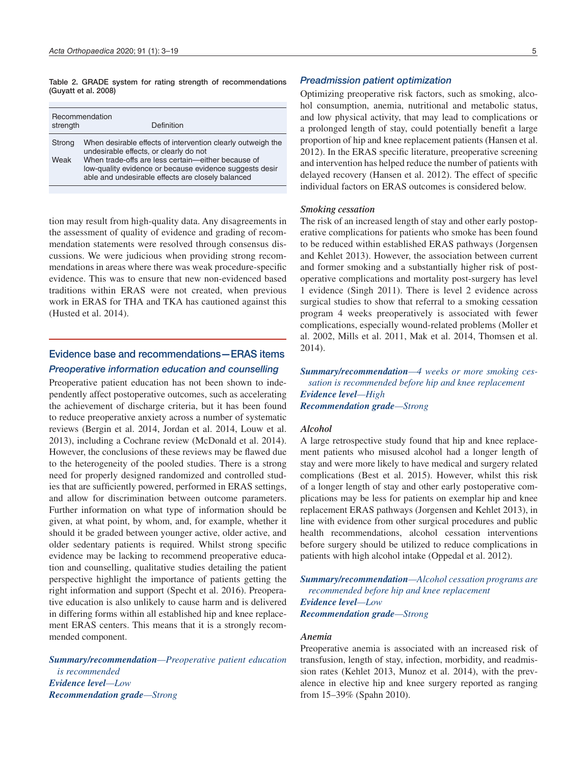Table 2. GRADE system for rating strength of recommendations (Guyatt et al. 2008)

| strength | Recommendation<br>Definition                                                                                                                                       |
|----------|--------------------------------------------------------------------------------------------------------------------------------------------------------------------|
| Strong   | When desirable effects of intervention clearly outweigh the<br>undesirable effects, or clearly do not                                                              |
| Weak     | When trade-offs are less certain-either because of<br>low-quality evidence or because evidence suggests desir<br>able and undesirable effects are closely balanced |

tion may result from high-quality data. Any disagreements in the assessment of quality of evidence and grading of recommendation statements were resolved through consensus discussions. We were judicious when providing strong recommendations in areas where there was weak procedure-specific evidence. This was to ensure that new non-evidenced based traditions within ERAS were not created, when previous work in ERAS for THA and TKA has cautioned against this (Husted et al. 2014).

# Evidence base and recommendations—ERAS items *Preoperative information education and counselling*

Preoperative patient education has not been shown to independently affect postoperative outcomes, such as accelerating the achievement of discharge criteria, but it has been found to reduce preoperative anxiety across a number of systematic reviews (Bergin et al. 2014, Jordan et al. 2014, Louw et al. 2013), including a Cochrane review (McDonald et al. 2014). However, the conclusions of these reviews may be flawed due to the heterogeneity of the pooled studies. There is a strong need for properly designed randomized and controlled studies that are sufficiently powered, performed in ERAS settings, and allow for discrimination between outcome parameters. Further information on what type of information should be given, at what point, by whom, and, for example, whether it should it be graded between younger active, older active, and older sedentary patients is required. Whilst strong specific evidence may be lacking to recommend preoperative education and counselling, qualitative studies detailing the patient perspective highlight the importance of patients getting the right information and support (Specht et al. 2016). Preoperative education is also unlikely to cause harm and is delivered in differing forms within all established hip and knee replacement ERAS centers. This means that it is a strongly recommended component.

*Summary/recommendation—Preoperative patient education is recommended Evidence level—Low Recommendation grade—Strong*

#### *Preadmission patient optimization*

Optimizing preoperative risk factors, such as smoking, alcohol consumption, anemia, nutritional and metabolic status, and low physical activity, that may lead to complications or a prolonged length of stay, could potentially benefit a large proportion of hip and knee replacement patients (Hansen et al. 2012). In the ERAS specific literature, preoperative screening and intervention has helped reduce the number of patients with delayed recovery (Hansen et al. 2012). The effect of specific individual factors on ERAS outcomes is considered below.

# *Smoking cessation*

The risk of an increased length of stay and other early postoperative complications for patients who smoke has been found to be reduced within established ERAS pathways (Jorgensen and Kehlet 2013). However, the association between current and former smoking and a substantially higher risk of postoperative complications and mortality post-surgery has level 1 evidence (Singh 2011). There is level 2 evidence across surgical studies to show that referral to a smoking cessation program 4 weeks preoperatively is associated with fewer complications, especially wound-related problems (Moller et al. 2002, Mills et al. 2011, Mak et al. 2014, Thomsen et al. 2014).

*Summary/recommendation—4 weeks or more smoking cessation is recommended before hip and knee replacement Evidence level—High Recommendation grade—Strong*

# *Alcohol*

A large retrospective study found that hip and knee replacement patients who misused alcohol had a longer length of stay and were more likely to have medical and surgery related complications (Best et al. 2015). However, whilst this risk of a longer length of stay and other early postoperative complications may be less for patients on exemplar hip and knee replacement ERAS pathways (Jorgensen and Kehlet 2013), in line with evidence from other surgical procedures and public health recommendations, alcohol cessation interventions before surgery should be utilized to reduce complications in patients with high alcohol intake (Oppedal et al. 2012).

*Summary/recommendation—Alcohol cessation programs are recommended before hip and knee replacement Evidence level—Low Recommendation grade—Strong*

#### *Anemia*

Preoperative anemia is associated with an increased risk of transfusion, length of stay, infection, morbidity, and readmission rates (Kehlet 2013, Munoz et al. 2014), with the prevalence in elective hip and knee surgery reported as ranging from 15–39% (Spahn 2010).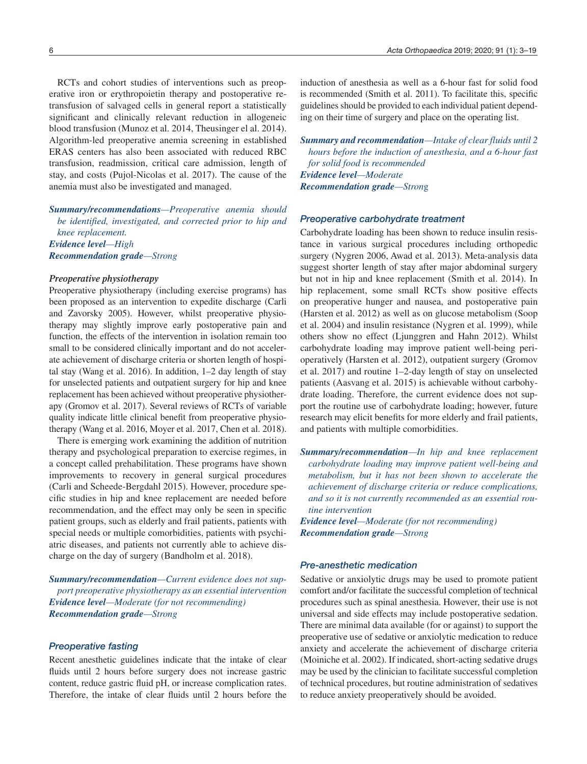RCTs and cohort studies of interventions such as preoperative iron or erythropoietin therapy and postoperative retransfusion of salvaged cells in general report a statistically significant and clinically relevant reduction in allogeneic blood transfusion (Munoz et al. 2014, Theusinger el al. 2014). Algorithm-led preoperative anemia screening in established ERAS centers has also been associated with reduced RBC transfusion, readmission, critical care admission, length of stay, and costs (Pujol-Nicolas et al. 2017). The cause of the anemia must also be investigated and managed.

*Summary/recommendations—Preoperative anemia should be identified, investigated, and corrected prior to hip and knee replacement. Evidence level—High Recommendation grade—Strong*

#### *Preoperative physiotherapy*

Preoperative physiotherapy (including exercise programs) has been proposed as an intervention to expedite discharge (Carli and Zavorsky 2005). However, whilst preoperative physiotherapy may slightly improve early postoperative pain and function, the effects of the intervention in isolation remain too small to be considered clinically important and do not accelerate achievement of discharge criteria or shorten length of hospital stay (Wang et al. 2016). In addition, 1–2 day length of stay for unselected patients and outpatient surgery for hip and knee replacement has been achieved without preoperative physiotherapy (Gromov et al. 2017). Several reviews of RCTs of variable quality indicate little clinical benefit from preoperative physiotherapy (Wang et al. 2016, Moyer et al. 2017, Chen et al. 2018).

There is emerging work examining the addition of nutrition therapy and psychological preparation to exercise regimes, in a concept called prehabilitation. These programs have shown improvements to recovery in general surgical procedures (Carli and Scheede-Bergdahl 2015). However, procedure specific studies in hip and knee replacement are needed before recommendation, and the effect may only be seen in specific patient groups, such as elderly and frail patients, patients with special needs or multiple comorbidities, patients with psychiatric diseases, and patients not currently able to achieve discharge on the day of surgery (Bandholm et al. 2018).

*Summary/recommendation—Current evidence does not support preoperative physiotherapy as an essential intervention Evidence level—Moderate (for not recommending) Recommendation grade—Strong*

#### *Preoperative fasting*

Recent anesthetic guidelines indicate that the intake of clear fluids until 2 hours before surgery does not increase gastric content, reduce gastric fluid pH, or increase complication rates. Therefore, the intake of clear fluids until 2 hours before the

induction of anesthesia as well as a 6-hour fast for solid food is recommended (Smith et al. 2011). To facilitate this, specific guidelines should be provided to each individual patient depending on their time of surgery and place on the operating list.

*Summary and recommendation—Intake of clear fluids until 2 hours before the induction of anesthesia, and a 6-hour fast for solid food is recommended Evidence level—Moderate Recommendation grade—Stron*g

#### *Preoperative carbohydrate treatment*

Carbohydrate loading has been shown to reduce insulin resistance in various surgical procedures including orthopedic surgery (Nygren 2006, Awad et al. 2013). Meta-analysis data suggest shorter length of stay after major abdominal surgery but not in hip and knee replacement (Smith et al. 2014). In hip replacement, some small RCTs show positive effects on preoperative hunger and nausea, and postoperative pain (Harsten et al. 2012) as well as on glucose metabolism (Soop et al. 2004) and insulin resistance (Nygren et al. 1999), while others show no effect (Ljunggren and Hahn 2012). Whilst carbohydrate loading may improve patient well-being perioperatively (Harsten et al. 2012), outpatient surgery (Gromov et al. 2017) and routine 1–2-day length of stay on unselected patients (Aasvang et al. 2015) is achievable without carbohydrate loading. Therefore, the current evidence does not support the routine use of carbohydrate loading; however, future research may elicit benefits for more elderly and frail patients, and patients with multiple comorbidities.

*Summary/recommendation—In hip and knee replacement carbohydrate loading may improve patient well-being and metabolism, but it has not been shown to accelerate the achievement of discharge criteria or reduce complications, and so it is not currently recommended as an essential routine intervention* 

*Evidence level—Moderate (for not recommending) Recommendation grade—Strong*

#### *Pre-anesthetic medication*

Sedative or anxiolytic drugs may be used to promote patient comfort and/or facilitate the successful completion of technical procedures such as spinal anesthesia. However, their use is not universal and side effects may include postoperative sedation. There are minimal data available (for or against) to support the preoperative use of sedative or anxiolytic medication to reduce anxiety and accelerate the achievement of discharge criteria (Moiniche et al. 2002). If indicated, short-acting sedative drugs may be used by the clinician to facilitate successful completion of technical procedures, but routine administration of sedatives to reduce anxiety preoperatively should be avoided.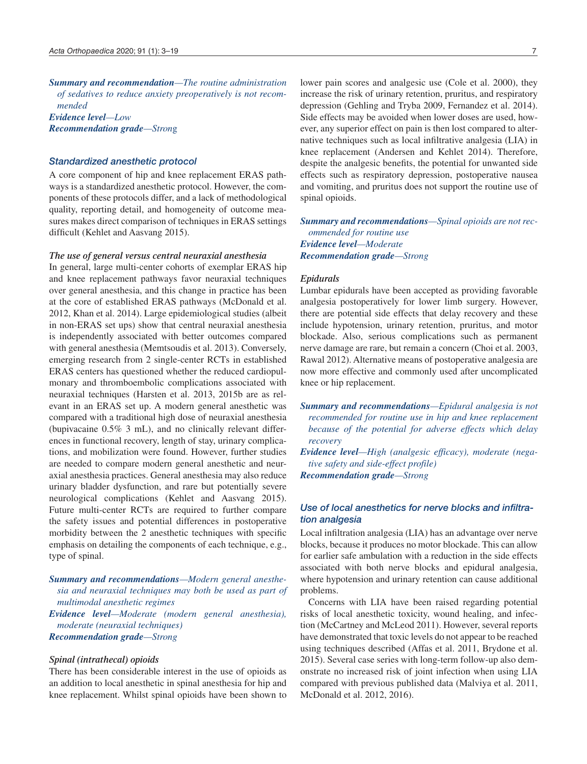*Summary and recommendation—The routine administration of sedatives to reduce anxiety preoperatively is not recommended Evidence level—Low Recommendation grade—Stron*g

# *Standardized anesthetic protocol*

A core component of hip and knee replacement ERAS pathways is a standardized anesthetic protocol. However, the components of these protocols differ, and a lack of methodological quality, reporting detail, and homogeneity of outcome measures makes direct comparison of techniques in ERAS settings difficult (Kehlet and Aasvang 2015).

#### *The use of general versus central neuraxial anesthesia*

In general, large multi-center cohorts of exemplar ERAS hip and knee replacement pathways favor neuraxial techniques over general anesthesia, and this change in practice has been at the core of established ERAS pathways (McDonald et al. 2012, Khan et al. 2014). Large epidemiological studies (albeit in non-ERAS set ups) show that central neuraxial anesthesia is independently associated with better outcomes compared with general anesthesia (Memtsoudis et al. 2013). Conversely, emerging research from 2 single-center RCTs in established ERAS centers has questioned whether the reduced cardiopulmonary and thromboembolic complications associated with neuraxial techniques (Harsten et al. 2013, 2015b are as relevant in an ERAS set up. A modern general anesthetic was compared with a traditional high dose of neuraxial anesthesia (bupivacaine 0.5% 3 mL), and no clinically relevant differences in functional recovery, length of stay, urinary complications, and mobilization were found. However, further studies are needed to compare modern general anesthetic and neuraxial anesthesia practices. General anesthesia may also reduce urinary bladder dysfunction, and rare but potentially severe neurological complications (Kehlet and Aasvang 2015). Future multi-center RCTs are required to further compare the safety issues and potential differences in postoperative morbidity between the 2 anesthetic techniques with specific emphasis on detailing the components of each technique, e.g., type of spinal.

*Summary and recommendations—Modern general anesthesia and neuraxial techniques may both be used as part of multimodal anesthetic regimes Evidence level—Moderate (modern general anesthesia),* 

*moderate (neuraxial techniques) Recommendation grade—Strong*

#### *Spinal (intrathecal) opioids*

There has been considerable interest in the use of opioids as an addition to local anesthetic in spinal anesthesia for hip and knee replacement. Whilst spinal opioids have been shown to lower pain scores and analgesic use (Cole et al. 2000), they increase the risk of urinary retention, pruritus, and respiratory depression (Gehling and Tryba 2009, Fernandez et al. 2014). Side effects may be avoided when lower doses are used, however, any superior effect on pain is then lost compared to alternative techniques such as local infiltrative analgesia (LIA) in knee replacement (Andersen and Kehlet 2014). Therefore, despite the analgesic benefits, the potential for unwanted side effects such as respiratory depression, postoperative nausea and vomiting, and pruritus does not support the routine use of spinal opioids.

*Summary and recommendations—Spinal opioids are not recommended for routine use Evidence level—Moderate Recommendation grade—Strong*

#### *Epidurals*

Lumbar epidurals have been accepted as providing favorable analgesia postoperatively for lower limb surgery. However, there are potential side effects that delay recovery and these include hypotension, urinary retention, pruritus, and motor blockade. Also, serious complications such as permanent nerve damage are rare, but remain a concern (Choi et al. 2003, Rawal 2012). Alternative means of postoperative analgesia are now more effective and commonly used after uncomplicated knee or hip replacement.

- *Summary and recommendations—Epidural analgesia is not recommended for routine use in hip and knee replacement because of the potential for adverse effects which delay recovery*
- *Evidence level—High (analgesic efficacy), moderate (negative safety and side-effect profile)*
- *Recommendation grade—Strong*

# *Use of local anesthetics for nerve blocks and infiltration analgesia*

Local infiltration analgesia (LIA) has an advantage over nerve blocks, because it produces no motor blockade. This can allow for earlier safe ambulation with a reduction in the side effects associated with both nerve blocks and epidural analgesia, where hypotension and urinary retention can cause additional problems.

Concerns with LIA have been raised regarding potential risks of local anesthetic toxicity, wound healing, and infection (McCartney and McLeod 2011). However, several reports have demonstrated that toxic levels do not appear to be reached using techniques described (Affas et al. 2011, Brydone et al. 2015). Several case series with long-term follow-up also demonstrate no increased risk of joint infection when using LIA compared with previous published data (Malviya et al. 2011, McDonald et al. 2012, 2016).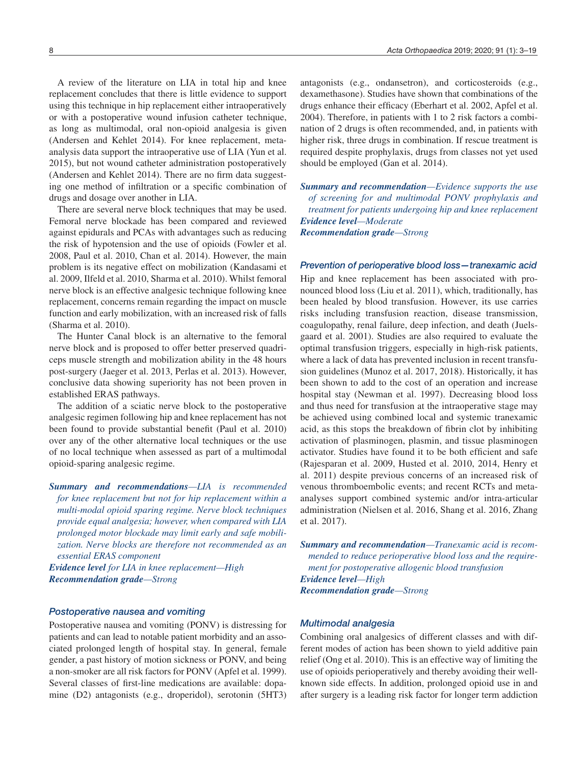A review of the literature on LIA in total hip and knee replacement concludes that there is little evidence to support using this technique in hip replacement either intraoperatively or with a postoperative wound infusion catheter technique, as long as multimodal, oral non-opioid analgesia is given (Andersen and Kehlet 2014). For knee replacement, metaanalysis data support the intraoperative use of LIA (Yun et al. 2015), but not wound catheter administration postoperatively (Andersen and Kehlet 2014). There are no firm data suggesting one method of infiltration or a specific combination of drugs and dosage over another in LIA.

There are several nerve block techniques that may be used. Femoral nerve blockade has been compared and reviewed against epidurals and PCAs with advantages such as reducing the risk of hypotension and the use of opioids (Fowler et al. 2008, Paul et al. 2010, Chan et al. 2014). However, the main problem is its negative effect on mobilization (Kandasami et al. 2009, Ilfeld et al. 2010, Sharma et al. 2010). Whilst femoral nerve block is an effective analgesic technique following knee replacement, concerns remain regarding the impact on muscle function and early mobilization, with an increased risk of falls (Sharma et al. 2010).

The Hunter Canal block is an alternative to the femoral nerve block and is proposed to offer better preserved quadriceps muscle strength and mobilization ability in the 48 hours post-surgery (Jaeger et al. 2013, Perlas et al. 2013). However, conclusive data showing superiority has not been proven in established ERAS pathways.

The addition of a sciatic nerve block to the postoperative analgesic regimen following hip and knee replacement has not been found to provide substantial benefit (Paul et al. 2010) over any of the other alternative local techniques or the use of no local technique when assessed as part of a multimodal opioid-sparing analgesic regime.

*Summary and recommendations—LIA is recommended for knee replacement but not for hip replacement within a multi-modal opioid sparing regime. Nerve block techniques provide equal analgesia; however, when compared with LIA prolonged motor blockade may limit early and safe mobilization. Nerve blocks are therefore not recommended as an essential ERAS component*

*Evidence level for LIA in knee replacement—High Recommendation grade—Strong*

#### *Postoperative nausea and vomiting*

Postoperative nausea and vomiting (PONV) is distressing for patients and can lead to notable patient morbidity and an associated prolonged length of hospital stay. In general, female gender, a past history of motion sickness or PONV, and being a non-smoker are all risk factors for PONV (Apfel et al. 1999). Several classes of first-line medications are available: dopamine (D2) antagonists (e.g., droperidol), serotonin (5HT3)

antagonists (e.g., ondansetron), and corticosteroids (e.g., dexamethasone). Studies have shown that combinations of the drugs enhance their efficacy (Eberhart et al. 2002, Apfel et al. 2004). Therefore, in patients with 1 to 2 risk factors a combination of 2 drugs is often recommended, and, in patients with higher risk, three drugs in combination. If rescue treatment is required despite prophylaxis, drugs from classes not yet used should be employed (Gan et al. 2014).

*Summary and recommendation—Evidence supports the use of screening for and multimodal PONV prophylaxis and treatment for patients undergoing hip and knee replacement Evidence level—Moderate Recommendation grade—Strong*

### *Prevention of perioperative blood loss—tranexamic acid*

Hip and knee replacement has been associated with pronounced blood loss (Liu et al. 2011), which, traditionally, has been healed by blood transfusion. However, its use carries risks including transfusion reaction, disease transmission, coagulopathy, renal failure, deep infection, and death (Juelsgaard et al. 2001). Studies are also required to evaluate the optimal transfusion triggers, especially in high-risk patients, where a lack of data has prevented inclusion in recent transfusion guidelines (Munoz et al. 2017, 2018). Historically, it has been shown to add to the cost of an operation and increase hospital stay (Newman et al. 1997). Decreasing blood loss and thus need for transfusion at the intraoperative stage may be achieved using combined local and systemic tranexamic acid, as this stops the breakdown of fibrin clot by inhibiting activation of plasminogen, plasmin, and tissue plasminogen activator. Studies have found it to be both efficient and safe (Rajesparan et al. 2009, Husted et al. 2010, 2014, Henry et al. 2011) despite previous concerns of an increased risk of venous thromboembolic events; and recent RCTs and metaanalyses support combined systemic and/or intra-articular administration (Nielsen et al. 2016, Shang et al. 2016, Zhang et al. 2017).

*Summary and recommendation—Tranexamic acid is recommended to reduce perioperative blood loss and the requirement for postoperative allogenic blood transfusion Evidence level—High Recommendation grade—Strong*

#### *Multimodal analgesia*

Combining oral analgesics of different classes and with different modes of action has been shown to yield additive pain relief (Ong et al. 2010). This is an effective way of limiting the use of opioids perioperatively and thereby avoiding their wellknown side effects. In addition, prolonged opioid use in and after surgery is a leading risk factor for longer term addiction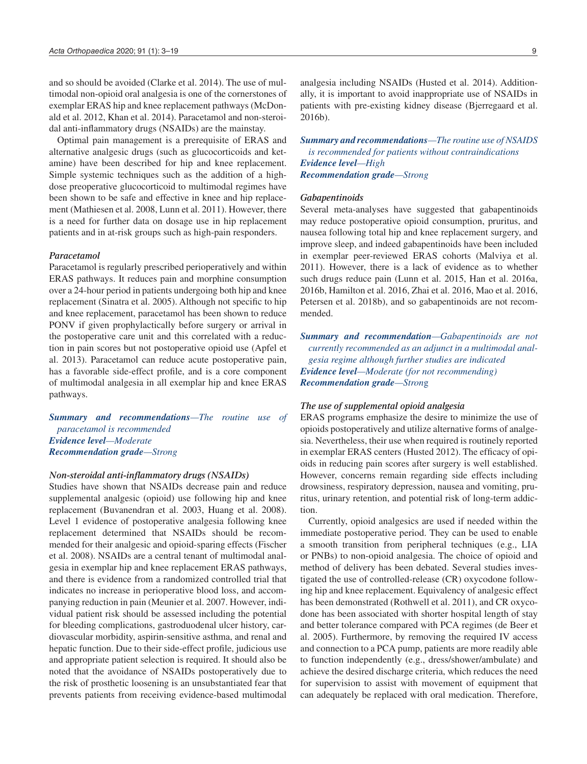and so should be avoided (Clarke et al. 2014). The use of multimodal non-opioid oral analgesia is one of the cornerstones of exemplar ERAS hip and knee replacement pathways (McDonald et al. 2012, Khan et al. 2014). Paracetamol and non-steroidal anti-inflammatory drugs (NSAIDs) are the mainstay.

Optimal pain management is a prerequisite of ERAS and alternative analgesic drugs (such as glucocorticoids and ketamine) have been described for hip and knee replacement. Simple systemic techniques such as the addition of a highdose preoperative glucocorticoid to multimodal regimes have been shown to be safe and effective in knee and hip replacement (Mathiesen et al. 2008, Lunn et al. 2011). However, there is a need for further data on dosage use in hip replacement patients and in at-risk groups such as high-pain responders.

#### *Paracetamol*

Paracetamol is regularly prescribed perioperatively and within ERAS pathways. It reduces pain and morphine consumption over a 24-hour period in patients undergoing both hip and knee replacement (Sinatra et al. 2005). Although not specific to hip and knee replacement, paracetamol has been shown to reduce PONV if given prophylactically before surgery or arrival in the postoperative care unit and this correlated with a reduction in pain scores but not postoperative opioid use (Apfel et al. 2013). Paracetamol can reduce acute postoperative pain, has a favorable side-effect profile, and is a core component of multimodal analgesia in all exemplar hip and knee ERAS pathways.

*Summary and recommendations—The routine use of paracetamol is recommended Evidence level—Moderate Recommendation grade—Strong*

#### *Non-steroidal anti-inflammatory drugs (NSAIDs)*

Studies have shown that NSAIDs decrease pain and reduce supplemental analgesic (opioid) use following hip and knee replacement (Buvanendran et al. 2003, Huang et al. 2008). Level 1 evidence of postoperative analgesia following knee replacement determined that NSAIDs should be recommended for their analgesic and opioid-sparing effects (Fischer et al. 2008). NSAIDs are a central tenant of multimodal analgesia in exemplar hip and knee replacement ERAS pathways, and there is evidence from a randomized controlled trial that indicates no increase in perioperative blood loss, and accompanying reduction in pain (Meunier et al. 2007. However, individual patient risk should be assessed including the potential for bleeding complications, gastroduodenal ulcer history, cardiovascular morbidity, aspirin-sensitive asthma, and renal and hepatic function. Due to their side-effect profile, judicious use and appropriate patient selection is required. It should also be noted that the avoidance of NSAIDs postoperatively due to the risk of prosthetic loosening is an unsubstantiated fear that prevents patients from receiving evidence-based multimodal

analgesia including NSAIDs (Husted et al. 2014). Additionally, it is important to avoid inappropriate use of NSAIDs in patients with pre-existing kidney disease (Bjerregaard et al. 2016b).

*Summary and recommendations—The routine use of NSAIDS is recommended for patients without contraindications Evidence level—High Recommendation grade—Strong*

#### *Gabapentinoids*

Several meta-analyses have suggested that gabapentinoids may reduce postoperative opioid consumption, pruritus, and nausea following total hip and knee replacement surgery, and improve sleep, and indeed gabapentinoids have been included in exemplar peer-reviewed ERAS cohorts (Malviya et al. 2011). However, there is a lack of evidence as to whether such drugs reduce pain (Lunn et al. 2015, Han et al. 2016a, 2016b, Hamilton et al. 2016, Zhai et al. 2016, Mao et al. 2016, Petersen et al. 2018b), and so gabapentinoids are not recommended.

*Summary and recommendation—Gabapentinoids are not currently recommended as an adjunct in a multimodal analgesia regime although further studies are indicated Evidence level—Moderate (for not recommending) Recommendation grade—Stron*g

#### *The use of supplemental opioid analgesia*

ERAS programs emphasize the desire to minimize the use of opioids postoperatively and utilize alternative forms of analgesia. Nevertheless, their use when required is routinely reported in exemplar ERAS centers (Husted 2012). The efficacy of opioids in reducing pain scores after surgery is well established. However, concerns remain regarding side effects including drowsiness, respiratory depression, nausea and vomiting, pruritus, urinary retention, and potential risk of long-term addiction.

Currently, opioid analgesics are used if needed within the immediate postoperative period. They can be used to enable a smooth transition from peripheral techniques (e.g., LIA or PNBs) to non-opioid analgesia. The choice of opioid and method of delivery has been debated. Several studies investigated the use of controlled-release (CR) oxycodone following hip and knee replacement. Equivalency of analgesic effect has been demonstrated (Rothwell et al. 2011), and CR oxycodone has been associated with shorter hospital length of stay and better tolerance compared with PCA regimes (de Beer et al. 2005). Furthermore, by removing the required IV access and connection to a PCA pump, patients are more readily able to function independently (e.g., dress/shower/ambulate) and achieve the desired discharge criteria, which reduces the need for supervision to assist with movement of equipment that can adequately be replaced with oral medication. Therefore,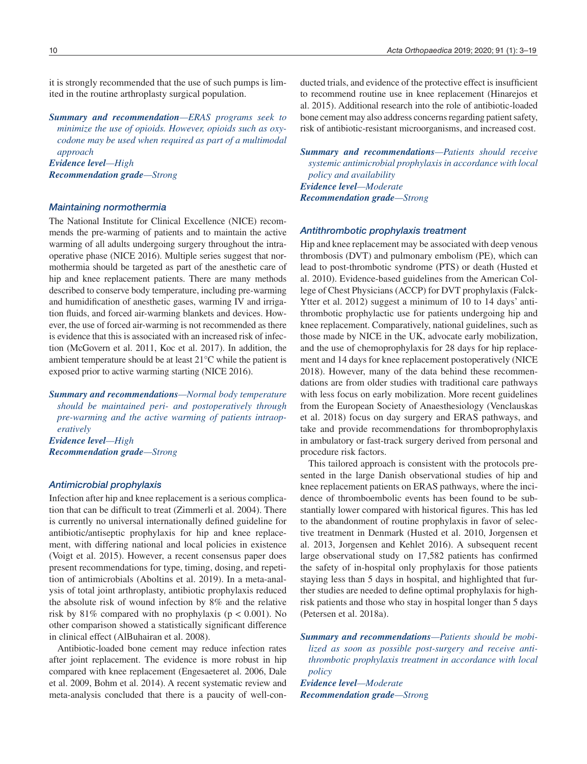it is strongly recommended that the use of such pumps is limited in the routine arthroplasty surgical population.

*Summary and recommendation—ERAS programs seek to minimize the use of opioids. However, opioids such as oxycodone may be used when required as part of a multimodal approach Evidence level—High Recommendation grade—Strong*

#### *Maintaining normothermia*

The National Institute for Clinical Excellence (NICE) recommends the pre-warming of patients and to maintain the active warming of all adults undergoing surgery throughout the intraoperative phase (NICE 2016). Multiple series suggest that normothermia should be targeted as part of the anesthetic care of hip and knee replacement patients. There are many methods described to conserve body temperature, including pre-warming and humidification of anesthetic gases, warming IV and irrigation fluids, and forced air-warming blankets and devices. However, the use of forced air-warming is not recommended as there is evidence that this is associated with an increased risk of infection (McGovern et al. 2011, Koc et al. 2017). In addition, the ambient temperature should be at least 21°C while the patient is exposed prior to active warming starting (NICE 2016).

*Summary and recommendations—Normal body temperature should be maintained peri- and postoperatively through pre-warming and the active warming of patients intraoperatively Evidence level—High Recommendation grade—Strong*

#### *Antimicrobial prophylaxis*

Infection after hip and knee replacement is a serious complication that can be difficult to treat (Zimmerli et al. 2004). There is currently no universal internationally defined guideline for antibiotic/antiseptic prophylaxis for hip and knee replacement, with differing national and local policies in existence (Voigt et al. 2015). However, a recent consensus paper does present recommendations for type, timing, dosing, and repetition of antimicrobials (Aboltins et al. 2019). In a meta-analysis of total joint arthroplasty, antibiotic prophylaxis reduced the absolute risk of wound infection by 8% and the relative risk by 81% compared with no prophylaxis ( $p < 0.001$ ). No other comparison showed a statistically significant difference in clinical effect (AlBuhairan et al. 2008).

Antibiotic-loaded bone cement may reduce infection rates after joint replacement. The evidence is more robust in hip compared with knee replacement (Engesaeteret al. 2006, Dale et al. 2009, Bohm et al. 2014). A recent systematic review and meta-analysis concluded that there is a paucity of well-conducted trials, and evidence of the protective effect is insufficient to recommend routine use in knee replacement (Hinarejos et al. 2015). Additional research into the role of antibiotic-loaded bone cement may also address concerns regarding patient safety, risk of antibiotic-resistant microorganisms, and increased cost.

*Summary and recommendations—Patients should receive systemic antimicrobial prophylaxis in accordance with local policy and availability Evidence level—Moderate Recommendation grade—Strong*

#### *Antithrombotic prophylaxis treatment*

Hip and knee replacement may be associated with deep venous thrombosis (DVT) and pulmonary embolism (PE), which can lead to post-thrombotic syndrome (PTS) or death (Husted et al. 2010). Evidence-based guidelines from the American College of Chest Physicians (ACCP) for DVT prophylaxis (Falck-Ytter et al. 2012) suggest a minimum of 10 to 14 days' antithrombotic prophylactic use for patients undergoing hip and knee replacement. Comparatively, national guidelines, such as those made by NICE in the UK, advocate early mobilization, and the use of chemoprophylaxis for 28 days for hip replacement and 14 days for knee replacement postoperatively (NICE 2018). However, many of the data behind these recommendations are from older studies with traditional care pathways with less focus on early mobilization. More recent guidelines from the European Society of Anaesthesiology (Venclauskas et al. 2018) focus on day surgery and ERAS pathways, and take and provide recommendations for thromboprophylaxis in ambulatory or fast-track surgery derived from personal and procedure risk factors.

This tailored approach is consistent with the protocols presented in the large Danish observational studies of hip and knee replacement patients on ERAS pathways, where the incidence of thromboembolic events has been found to be substantially lower compared with historical figures. This has led to the abandonment of routine prophylaxis in favor of selective treatment in Denmark (Husted et al. 2010, Jorgensen et al. 2013, Jorgensen and Kehlet 2016). A subsequent recent large observational study on 17,582 patients has confirmed the safety of in-hospital only prophylaxis for those patients staying less than 5 days in hospital, and highlighted that further studies are needed to define optimal prophylaxis for highrisk patients and those who stay in hospital longer than 5 days (Petersen et al. 2018a).

*Summary and recommendations—Patients should be mobilized as soon as possible post-surgery and receive antithrombotic prophylaxis treatment in accordance with local policy* 

*Evidence level—Moderate Recommendation grade—Stron*g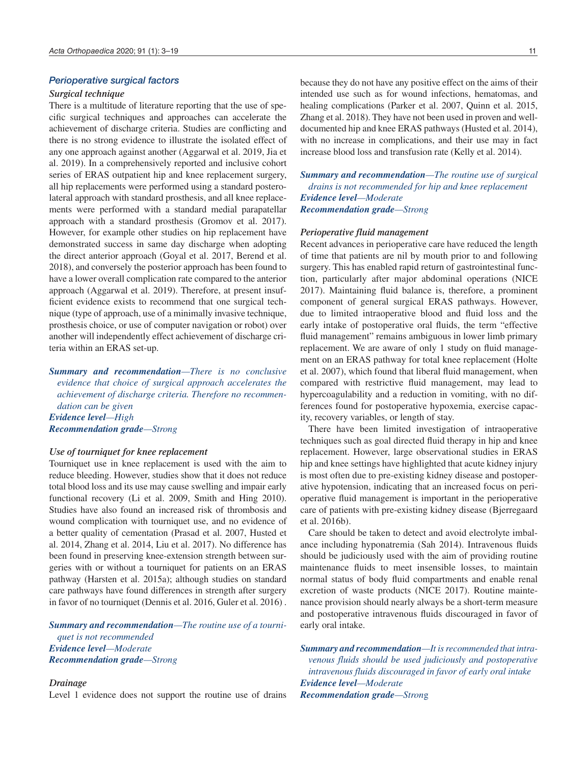#### *Perioperative surgical factors*

#### *Surgical technique*

There is a multitude of literature reporting that the use of specific surgical techniques and approaches can accelerate the achievement of discharge criteria. Studies are conflicting and there is no strong evidence to illustrate the isolated effect of any one approach against another (Aggarwal et al. 2019, Jia et al. 2019). In a comprehensively reported and inclusive cohort series of ERAS outpatient hip and knee replacement surgery, all hip replacements were performed using a standard posterolateral approach with standard prosthesis, and all knee replacements were performed with a standard medial parapatellar approach with a standard prosthesis (Gromov et al. 2017). However, for example other studies on hip replacement have demonstrated success in same day discharge when adopting the direct anterior approach (Goyal et al. 2017, Berend et al. 2018), and conversely the posterior approach has been found to have a lower overall complication rate compared to the anterior approach (Aggarwal et al. 2019). Therefore, at present insufficient evidence exists to recommend that one surgical technique (type of approach, use of a minimally invasive technique, prosthesis choice, or use of computer navigation or robot) over another will independently effect achievement of discharge criteria within an ERAS set-up.

*Summary and recommendation—There is no conclusive evidence that choice of surgical approach accelerates the achievement of discharge criteria. Therefore no recommendation can be given Evidence level—High Recommendation grade—Strong*

#### *Use of tourniquet for knee replacement*

Tourniquet use in knee replacement is used with the aim to reduce bleeding. However, studies show that it does not reduce total blood loss and its use may cause swelling and impair early functional recovery (Li et al. 2009, Smith and Hing 2010). Studies have also found an increased risk of thrombosis and wound complication with tourniquet use, and no evidence of a better quality of cementation (Prasad et al. 2007, Husted et al. 2014, Zhang et al. 2014, Liu et al. 2017). No difference has been found in preserving knee-extension strength between surgeries with or without a tourniquet for patients on an ERAS pathway (Harsten et al. 2015a); although studies on standard care pathways have found differences in strength after surgery in favor of no tourniquet (Dennis et al. 2016, Guler et al. 2016) .

*Summary and recommendation—The routine use of a tourniquet is not recommended Evidence level—Moderate Recommendation grade—Strong*

#### *Drainage*

Level 1 evidence does not support the routine use of drains

because they do not have any positive effect on the aims of their intended use such as for wound infections, hematomas, and healing complications (Parker et al. 2007, Quinn et al. 2015, Zhang et al. 2018). They have not been used in proven and welldocumented hip and knee ERAS pathways (Husted et al. 2014), with no increase in complications, and their use may in fact increase blood loss and transfusion rate (Kelly et al. 2014).

*Summary and recommendation—The routine use of surgical drains is not recommended for hip and knee replacement Evidence level—Moderate Recommendation grade—Strong*

#### *Perioperative fluid management*

Recent advances in perioperative care have reduced the length of time that patients are nil by mouth prior to and following surgery. This has enabled rapid return of gastrointestinal function, particularly after major abdominal operations (NICE 2017). Maintaining fluid balance is, therefore, a prominent component of general surgical ERAS pathways. However, due to limited intraoperative blood and fluid loss and the early intake of postoperative oral fluids, the term "effective fluid management" remains ambiguous in lower limb primary replacement. We are aware of only 1 study on fluid management on an ERAS pathway for total knee replacement (Holte et al. 2007), which found that liberal fluid management, when compared with restrictive fluid management, may lead to hypercoagulability and a reduction in vomiting, with no differences found for postoperative hypoxemia, exercise capacity, recovery variables, or length of stay.

There have been limited investigation of intraoperative techniques such as goal directed fluid therapy in hip and knee replacement. However, large observational studies in ERAS hip and knee settings have highlighted that acute kidney injury is most often due to pre-existing kidney disease and postoperative hypotension, indicating that an increased focus on perioperative fluid management is important in the perioperative care of patients with pre-existing kidney disease (Bjerregaard et al. 2016b).

Care should be taken to detect and avoid electrolyte imbalance including hyponatremia (Sah 2014). Intravenous fluids should be judiciously used with the aim of providing routine maintenance fluids to meet insensible losses, to maintain normal status of body fluid compartments and enable renal excretion of waste products (NICE 2017). Routine maintenance provision should nearly always be a short-term measure and postoperative intravenous fluids discouraged in favor of early oral intake.

*Summary and recommendation—It is recommended that intravenous fluids should be used judiciously and postoperative intravenous fluids discouraged in favor of early oral intake Evidence level—Moderate Recommendation grade—Stron*g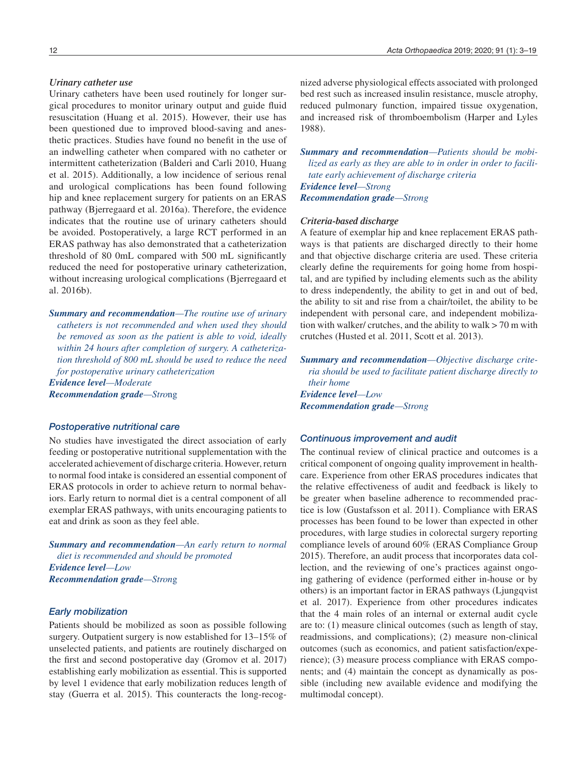Urinary catheters have been used routinely for longer surgical procedures to monitor urinary output and guide fluid resuscitation (Huang et al. 2015). However, their use has been questioned due to improved blood-saving and anesthetic practices. Studies have found no benefit in the use of an indwelling catheter when compared with no catheter or intermittent catheterization (Balderi and Carli 2010, Huang et al. 2015). Additionally, a low incidence of serious renal and urological complications has been found following hip and knee replacement surgery for patients on an ERAS pathway (Bjerregaard et al. 2016a). Therefore, the evidence indicates that the routine use of urinary catheters should be avoided. Postoperatively, a large RCT performed in an ERAS pathway has also demonstrated that a catheterization threshold of 80 0mL compared with 500 mL significantly reduced the need for postoperative urinary catheterization, without increasing urological complications (Bjerregaard et al. 2016b).

*Summary and recommendation—The routine use of urinary catheters is not recommended and when used they should be removed as soon as the patient is able to void, ideally within 24 hours after completion of surgery. A catheterization threshold of 800 mL should be used to reduce the need for postoperative urinary catheterization Evidence level—Moderate Recommendation grade—Stro*ng

#### *Postoperative nutritional care*

No studies have investigated the direct association of early feeding or postoperative nutritional supplementation with the accelerated achievement of discharge criteria. However, return to normal food intake is considered an essential component of ERAS protocols in order to achieve return to normal behaviors. Early return to normal diet is a central component of all exemplar ERAS pathways, with units encouraging patients to eat and drink as soon as they feel able.

*Summary and recommendation—An early return to normal diet is recommended and should be promoted Evidence level—Low Recommendation grade—Stron*g

# *Early mobilization*

Patients should be mobilized as soon as possible following surgery. Outpatient surgery is now established for 13–15% of unselected patients, and patients are routinely discharged on the first and second postoperative day (Gromov et al. 2017) establishing early mobilization as essential. This is supported by level 1 evidence that early mobilization reduces length of stay (Guerra et al. 2015). This counteracts the long-recognized adverse physiological effects associated with prolonged bed rest such as increased insulin resistance, muscle atrophy, reduced pulmonary function, impaired tissue oxygenation, and increased risk of thromboembolism (Harper and Lyles 1988).

*Summary and recommendation—Patients should be mobilized as early as they are able to in order in order to facilitate early achievement of discharge criteria Evidence level—Strong*

*Recommendation grade—Strong*

#### *Criteria-based discharge*

A feature of exemplar hip and knee replacement ERAS pathways is that patients are discharged directly to their home and that objective discharge criteria are used. These criteria clearly define the requirements for going home from hospital, and are typified by including elements such as the ability to dress independently, the ability to get in and out of bed, the ability to sit and rise from a chair/toilet, the ability to be independent with personal care, and independent mobilization with walker/ crutches, and the ability to walk > 70 m with crutches (Husted et al. 2011, Scott et al. 2013).

*Summary and recommendation—Objective discharge criteria should be used to facilitate patient discharge directly to their home Evidence level—Low Recommendation grade—Strong*

#### *Continuous improvement and audit*

The continual review of clinical practice and outcomes is a critical component of ongoing quality improvement in healthcare. Experience from other ERAS procedures indicates that the relative effectiveness of audit and feedback is likely to be greater when baseline adherence to recommended practice is low (Gustafsson et al. 2011). Compliance with ERAS processes has been found to be lower than expected in other procedures, with large studies in colorectal surgery reporting compliance levels of around 60% (ERAS Compliance Group 2015). Therefore, an audit process that incorporates data collection, and the reviewing of one's practices against ongoing gathering of evidence (performed either in-house or by others) is an important factor in ERAS pathways (Ljungqvist et al. 2017). Experience from other procedures indicates that the 4 main roles of an internal or external audit cycle are to: (1) measure clinical outcomes (such as length of stay, readmissions, and complications); (2) measure non-clinical outcomes (such as economics, and patient satisfaction/experience); (3) measure process compliance with ERAS components; and (4) maintain the concept as dynamically as possible (including new available evidence and modifying the multimodal concept).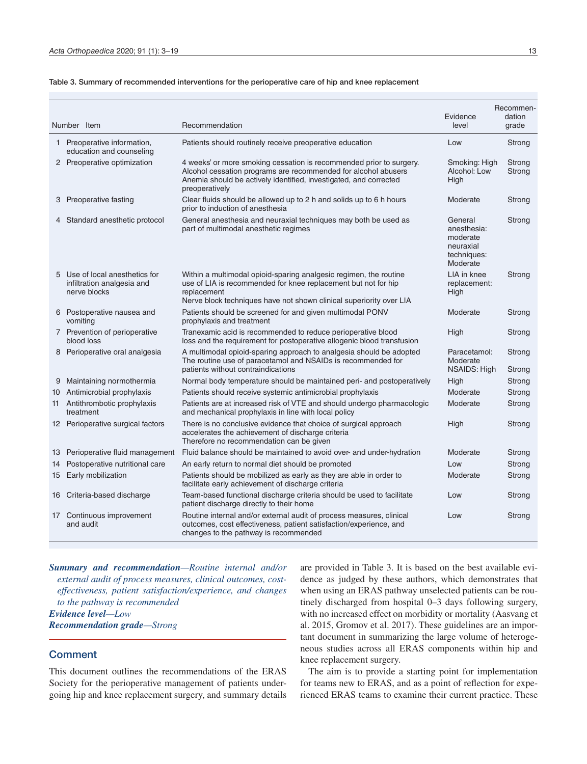|  | Table 3. Summary of recommended interventions for the perioperative care of hip and knee replacement |  |  |  |
|--|------------------------------------------------------------------------------------------------------|--|--|--|
|  |                                                                                                      |  |  |  |

|   | Number Item                                                                  | Recommendation                                                                                                                                                                                                               | Evidence<br>level                                                          | Recommen-<br>dation<br>grade |
|---|------------------------------------------------------------------------------|------------------------------------------------------------------------------------------------------------------------------------------------------------------------------------------------------------------------------|----------------------------------------------------------------------------|------------------------------|
|   | 1 Preoperative information,<br>education and counseling                      | Patients should routinely receive preoperative education                                                                                                                                                                     | Low                                                                        | Strong                       |
|   | 2 Preoperative optimization                                                  | 4 weeks' or more smoking cessation is recommended prior to surgery.<br>Alcohol cessation programs are recommended for alcohol abusers<br>Anemia should be actively identified, investigated, and corrected<br>preoperatively | Smoking: High<br>Alcohol: Low<br>High                                      | Strong<br>Strong             |
|   | 3 Preoperative fasting                                                       | Clear fluids should be allowed up to 2 h and solids up to 6 h hours<br>prior to induction of anesthesia                                                                                                                      | Moderate                                                                   | Strong                       |
|   | 4 Standard anesthetic protocol                                               | General anesthesia and neuraxial techniques may both be used as<br>part of multimodal anesthetic regimes                                                                                                                     | General<br>anesthesia:<br>moderate<br>neuraxial<br>techniques:<br>Moderate | Strong                       |
|   | 5 Use of local anesthetics for<br>infiltration analgesia and<br>nerve blocks | Within a multimodal opioid-sparing analgesic regimen, the routine<br>use of LIA is recommended for knee replacement but not for hip<br>replacement<br>Nerve block techniques have not shown clinical superiority over LIA    | LIA in knee<br>replacement:<br>High                                        | Strong                       |
|   | 6 Postoperative nausea and<br>vomiting                                       | Patients should be screened for and given multimodal PONV<br>prophylaxis and treatment                                                                                                                                       | Moderate                                                                   | Strong                       |
|   | 7 Prevention of perioperative<br>blood loss                                  | Tranexamic acid is recommended to reduce perioperative blood<br>loss and the requirement for postoperative allogenic blood transfusion                                                                                       | High                                                                       | Strong                       |
|   | 8 Perioperative oral analgesia                                               | A multimodal opioid-sparing approach to analgesia should be adopted<br>The routine use of paracetamol and NSAIDs is recommended for<br>patients without contraindications                                                    | Paracetamol:<br>Moderate<br>NSAIDS: High                                   | Strong<br>Strong             |
| 9 | Maintaining normothermia                                                     | Normal body temperature should be maintained peri- and postoperatively                                                                                                                                                       | High                                                                       | Strong                       |
|   | 10 Antimicrobial prophylaxis                                                 | Patients should receive systemic antimicrobial prophylaxis                                                                                                                                                                   | Moderate                                                                   | Strong                       |
|   | 11 Antithrombotic prophylaxis<br>treatment                                   | Patients are at increased risk of VTE and should undergo pharmacologic<br>and mechanical prophylaxis in line with local policy                                                                                               | Moderate                                                                   | Strong                       |
|   | 12 Perioperative surgical factors                                            | There is no conclusive evidence that choice of surgical approach<br>accelerates the achievement of discharge criteria<br>Therefore no recommendation can be given                                                            | High                                                                       | Strong                       |
|   | 13 Perioperative fluid management                                            | Fluid balance should be maintained to avoid over- and under-hydration                                                                                                                                                        | Moderate                                                                   | Strong                       |
|   | 14 Postoperative nutritional care                                            | An early return to normal diet should be promoted                                                                                                                                                                            | Low                                                                        | Strong                       |
|   | 15 Early mobilization                                                        | Patients should be mobilized as early as they are able in order to<br>facilitate early achievement of discharge criteria                                                                                                     | Moderate                                                                   | Strong                       |
|   | 16 Criteria-based discharge                                                  | Team-based functional discharge criteria should be used to facilitate<br>patient discharge directly to their home                                                                                                            | Low                                                                        | Strong                       |
|   | 17 Continuous improvement<br>and audit                                       | Routine internal and/or external audit of process measures, clinical<br>outcomes, cost effectiveness, patient satisfaction/experience, and<br>changes to the pathway is recommended                                          | Low                                                                        | Strong                       |

*Summary and recommendation—Routine internal and/or external audit of process measures, clinical outcomes, costeffectiveness, patient satisfaction/experience, and changes to the pathway is recommended Evidence level—Low Recommendation grade—Strong*

# **Comment**

This document outlines the recommendations of the ERAS Society for the perioperative management of patients undergoing hip and knee replacement surgery, and summary details are provided in Table 3. It is based on the best available evidence as judged by these authors, which demonstrates that when using an ERAS pathway unselected patients can be routinely discharged from hospital 0–3 days following surgery, with no increased effect on morbidity or mortality (Aasvang et al. 2015, Gromov et al. 2017). These guidelines are an important document in summarizing the large volume of heterogeneous studies across all ERAS components within hip and knee replacement surgery.

The aim is to provide a starting point for implementation for teams new to ERAS, and as a point of reflection for experienced ERAS teams to examine their current practice. These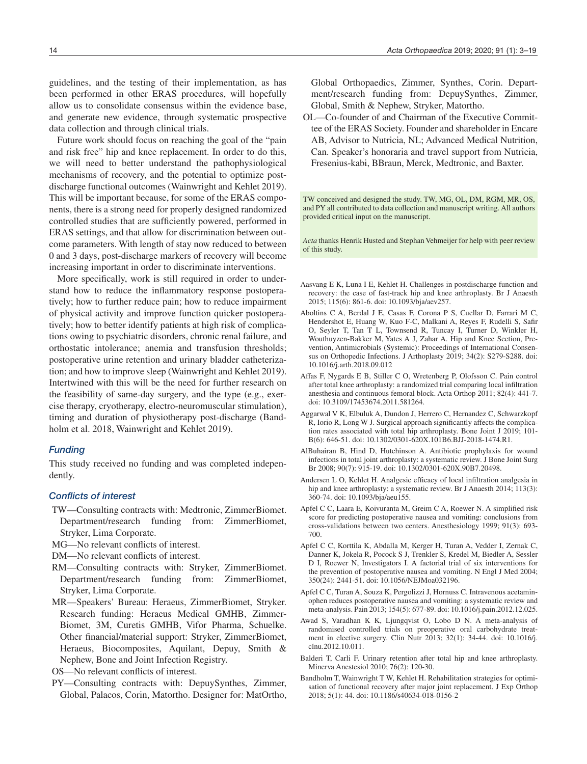guidelines, and the testing of their implementation, as has been performed in other ERAS procedures, will hopefully allow us to consolidate consensus within the evidence base, and generate new evidence, through systematic prospective data collection and through clinical trials.

Future work should focus on reaching the goal of the "pain and risk free" hip and knee replacement. In order to do this, we will need to better understand the pathophysiological mechanisms of recovery, and the potential to optimize postdischarge functional outcomes (Wainwright and Kehlet 2019). This will be important because, for some of the ERAS components, there is a strong need for properly designed randomized controlled studies that are sufficiently powered, performed in ERAS settings, and that allow for discrimination between outcome parameters. With length of stay now reduced to between 0 and 3 days, post-discharge markers of recovery will become increasing important in order to discriminate interventions.

More specifically, work is still required in order to understand how to reduce the inflammatory response postoperatively; how to further reduce pain; how to reduce impairment of physical activity and improve function quicker postoperatively; how to better identify patients at high risk of complications owing to psychiatric disorders, chronic renal failure, and orthostatic intolerance; anemia and transfusion thresholds; postoperative urine retention and urinary bladder catheterization; and how to improve sleep (Wainwright and Kehlet 2019). Intertwined with this will be the need for further research on the feasibility of same-day surgery, and the type (e.g., exercise therapy, cryotherapy, electro-neuromuscular stimulation), timing and duration of physiotherapy post-discharge (Bandholm et al. 2018, Wainwright and Kehlet 2019).

#### *Funding*

This study received no funding and was completed independently.

#### *Conflicts of interest*

- TW—Consulting contracts with: Medtronic, ZimmerBiomet. Department/research funding from: ZimmerBiomet, Stryker, Lima Corporate.
- MG—No relevant conflicts of interest.
- DM—No relevant conflicts of interest.
- RM—Consulting contracts with: Stryker, ZimmerBiomet. Department/research funding from: ZimmerBiomet, Stryker, Lima Corporate.
- MR—Speakers' Bureau: Heraeus, ZimmerBiomet, Stryker. Research funding: Heraeus Medical GMHB, Zimmer-Biomet, 3M, Curetis GMHB, Vifor Pharma, Schuelke. Other financial/material support: Stryker, ZimmerBiomet, Heraeus, Biocomposites, Aquilant, Depuy, Smith & Nephew, Bone and Joint Infection Registry.
- OS—No relevant conflicts of interest.
- PY—Consulting contracts with: DepuySynthes, Zimmer, Global, Palacos, Corin, Matortho. Designer for: MatOrtho,

Global Orthopaedics, Zimmer, Synthes, Corin. Department/research funding from: DepuySynthes, Zimmer, Global, Smith & Nephew, Stryker, Matortho.

OL—Co-founder of and Chairman of the Executive Committee of the ERAS Society. Founder and shareholder in Encare AB, Advisor to Nutricia, NL; Advanced Medical Nutrition, Can. Speaker's honoraria and travel support from Nutricia, Fresenius-kabi, BBraun, Merck, Medtronic, and Baxter.

TW conceived and designed the study. TW, MG, OL, DM, RGM, MR, OS, and PY all contributed to data collection and manuscript writing. All authors provided critical input on the manuscript.

*Acta* thanks Henrik Husted and Stephan Vehmeijer for help with peer review of this study.

- Aasvang E K, Luna I E, Kehlet H. Challenges in postdischarge function and recovery: the case of fast-track hip and knee arthroplasty. Br J Anaesth 2015; 115(6): 861-6. doi: 10.1093/bja/aev257.
- Aboltins C A, Berdal J E, Casas F, Corona P S, Cuellar D, Farrari M C, Hendershot E, Huang W, Kuo F-C, Malkani A, Reyes F, Rudelli S, Safir O, Seyler T, Tan T L, Townsend R, Tuncay I, Turner D, Winkler H, Wouthuyzen-Bakker M, Yates A J, Zahar A. Hip and Knee Section, Prevention, Antimicrobials (Systemic): Proceedings of International Consensus on Orthopedic Infections. J Arthoplasty 2019; 34(2): S279-S288. doi: 10.1016/j.arth.2018.09.012
- Affas F, Nygards E B, Stiller C O, Wretenberg P, Olofsson C. Pain control after total knee arthroplasty: a randomized trial comparing local infiltration anesthesia and continuous femoral block. Acta Orthop 2011; 82(4): 441-7. doi: 10.3109/17453674.2011.581264.
- Aggarwal V K, Elbuluk A, Dundon J, Herrero C, Hernandez C, Schwarzkopf R, Iorio R, Long W J. Surgical approach significantly affects the complication rates associated with total hip arthroplasty. Bone Joint J 2019; 101- B(6): 646-51. doi: 10.1302/0301-620X.101B6.BJJ-2018-1474.R1.
- AlBuhairan B, Hind D, Hutchinson A. Antibiotic prophylaxis for wound infections in total joint arthroplasty: a systematic review. J Bone Joint Surg Br 2008; 90(7): 915-19. doi: 10.1302/0301-620X.90B7.20498.
- Andersen L O, Kehlet H. Analgesic efficacy of local infiltration analgesia in hip and knee arthroplasty: a systematic review. Br J Anaesth 2014; 113(3): 360-74. doi: 10.1093/bja/aeu155.
- Apfel C C, Laara E, Koivuranta M, Greim C A, Roewer N. A simplified risk score for predicting postoperative nausea and vomiting: conclusions from cross-validations between two centers. Anesthesiology 1999; 91(3): 693- 700.
- Apfel C C, Korttila K, Abdalla M, Kerger H, Turan A, Vedder I, Zernak C, Danner K, Jokela R, Pocock S J, Trenkler S, Kredel M, Biedler A, Sessler D I, Roewer N, Investigators I. A factorial trial of six interventions for the prevention of postoperative nausea and vomiting. N Engl J Med 2004; 350(24): 2441-51. doi: 10.1056/NEJMoa032196.
- Apfel C C, Turan A, Souza K, Pergolizzi J, Hornuss C. Intravenous acetaminophen reduces postoperative nausea and vomiting: a systematic review and meta-analysis. Pain 2013; 154(5): 677-89. doi: 10.1016/j.pain.2012.12.025.
- Awad S, Varadhan K K, Ljungqvist O, Lobo D N. A meta-analysis of randomised controlled trials on preoperative oral carbohydrate treatment in elective surgery. Clin Nutr 2013; 32(1): 34-44. doi: 10.1016/j. clnu.2012.10.011.
- Balderi T, Carli F. Urinary retention after total hip and knee arthroplasty. Minerva Anestesiol 2010; 76(2): 120-30.
- Bandholm T, Wainwright T W, Kehlet H. Rehabilitation strategies for optimisation of functional recovery after major joint replacement. J Exp Orthop 2018; 5(1): 44. doi: 10.1186/s40634-018-0156-2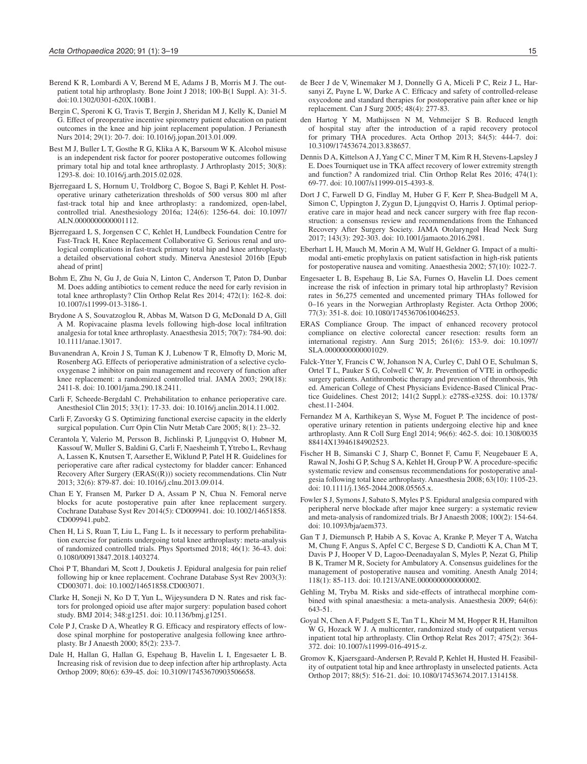- Berend K R, Lombardi A V, Berend M E, Adams J B, Morris M J. The outpatient total hip arthroplasty. Bone Joint J 2018; 100-B(1 Suppl. A): 31-5. doi:10.1302/0301-620X.100B1.
- Bergin C, Speroni K G, Travis T, Bergin J, Sheridan M J, Kelly K, Daniel M G. Effect of preoperative incentive spirometry patient education on patient outcomes in the knee and hip joint replacement population. J Perianesth Nurs 2014; 29(1): 20-7. doi: 10.1016/j.jopan.2013.01.009.
- Best M J, Buller L T, Gosthe R G, Klika A K, Barsoum W K. Alcohol misuse is an independent risk factor for poorer postoperative outcomes following primary total hip and total knee arthroplasty. J Arthroplasty 2015; 30(8): 1293-8. doi: 10.1016/j.arth.2015.02.028.
- Bjerregaard L S, Hornum U, Troldborg C, Bogoe S, Bagi P, Kehlet H. Postoperative urinary catheterization thresholds of 500 versus 800 ml after fast-track total hip and knee arthroplasty: a randomized, open-label, controlled trial. Anesthesiology 2016a; 124(6): 1256-64. doi: 10.1097/ ALN.0000000000001112.
- Bjerregaard L S, Jorgensen C C, Kehlet H, Lundbeck Foundation Centre for Fast-Track H, Knee Replacement Collaborative G. Serious renal and urological complications in fast-track primary total hip and knee arthroplasty; a detailed observational cohort study. Minerva Anestesiol 2016b [Epub ahead of print]
- Bohm E, Zhu N, Gu J, de Guia N, Linton C, Anderson T, Paton D, Dunbar M. Does adding antibiotics to cement reduce the need for early revision in total knee arthroplasty? Clin Orthop Relat Res 2014; 472(1): 162-8. doi: 10.1007/s11999-013-3186-1.
- Brydone A S, Souvatzoglou R, Abbas M, Watson D G, McDonald D A, Gill A M. Ropivacaine plasma levels following high-dose local infiltration analgesia for total knee arthroplasty. Anaesthesia 2015; 70(7): 784-90. doi: 10.1111/anae.13017.
- Buvanendran A, Kroin J S, Tuman K J, Lubenow T R, Elmofty D, Moric M, Rosenberg AG. Effects of perioperative administration of a selective cyclooxygenase 2 inhibitor on pain management and recovery of function after knee replacement: a randomized controlled trial. JAMA 2003; 290(18): 2411-8. doi: 10.1001/jama.290.18.2411.
- Carli F, Scheede-Bergdahl C. Prehabilitation to enhance perioperative care. Anesthesiol Clin 2015; 33(1): 17-33. doi: 10.1016/j.anclin.2014.11.002.
- Carli F, Zavorsky G S. Optimizing functional exercise capacity in the elderly surgical population. Curr Opin Clin Nutr Metab Care 2005; 8(1): 23-32.
- Cerantola Y, Valerio M, Persson B, Jichlinski P, Ljungqvist O, Hubner M, Kassouf W, Muller S, Baldini G, Carli F, Naesheimh T, Ytrebo L, Revhaug A, Lassen K, Knutsen T, Aarsether E, Wiklund P, Patel H R. Guidelines for perioperative care after radical cystectomy for bladder cancer: Enhanced Recovery After Surgery (ERAS((R))) society recommendations. Clin Nutr 2013; 32(6): 879-87. doi: 10.1016/j.clnu.2013.09.014.
- Chan E Y, Fransen M, Parker D A, Assam P N, Chua N. Femoral nerve blocks for acute postoperative pain after knee replacement surgery. Cochrane Database Syst Rev 2014(5): CD009941. doi: 10.1002/14651858. CD009941.pub2.
- Chen H, Li S, Ruan T, Liu L, Fang L. Is it necessary to perform prehabilitation exercise for patients undergoing total knee arthroplasty: meta-analysis of randomized controlled trials. Phys Sportsmed 2018; 46(1): 36-43. doi: 0.1080/00913847.2018.1403274.
- Choi P T, Bhandari M, Scott J, Douketis J. Epidural analgesia for pain relief following hip or knee replacement. Cochrane Database Syst Rev 2003(3): CD003071. doi: 10.1002/14651858.CD003071.
- Clarke H, Soneji N, Ko D T, Yun L, Wijeysundera D N. Rates and risk factors for prolonged opioid use after major surgery: population based cohort study. BMJ 2014; 348:g1251. doi: 10.1136/bmj.g1251.
- Cole P J, Craske D A, Wheatley R G. Efficacy and respiratory effects of lowdose spinal morphine for postoperative analgesia following knee arthroplasty. Br J Anaesth 2000; 85(2): 233-7.
- Dale H, Hallan G, Hallan G, Espehaug B, Havelin L I, Engesaeter L B. Increasing risk of revision due to deep infection after hip arthroplasty. Acta Orthop 2009; 80(6): 639-45. doi: 10.3109/17453670903506658.
- de Beer J de V, Winemaker M J, Donnelly G A, Miceli P C, Reiz J L, Harsanyi Z, Payne L W, Darke A C. Efficacy and safety of controlled-release oxycodone and standard therapies for postoperative pain after knee or hip replacement. Can J Surg 2005; 48(4): 277-83.
- den Hartog Y M, Mathijssen N M, Vehmeijer S B. Reduced length of hospital stay after the introduction of a rapid recovery protocol for primary THA procedures. Acta Orthop 2013; 84(5): 444-7. doi: 10.3109/17453674.2013.838657.
- Dennis D A, Kittelson A J, Yang C C, Miner T M, Kim R H, Stevens-Lapsley J E. Does Tourniquet use in TKA affect recovery of lower extremity strength and function? A randomized trial. Clin Orthop Relat Res 2016; 474(1): 69-77. doi: 10.1007/s11999-015-4393-8.
- Dort J C, Farwell D G, Findlay M, Huber G F, Kerr P, Shea-Budgell M A, Simon C, Uppington J, Zygun D, Ljungqvist O, Harris J. Optimal perioperative care in major head and neck cancer surgery with free flap reconstruction: a consensus review and recommendations from the Enhanced Recovery After Surgery Society. JAMA Otolaryngol Head Neck Surg 2017; 143(3): 292-303. doi: 10.1001/jamaoto.2016.2981.
- Eberhart L H, Mauch M, Morin A M, Wulf H, Geldner G. Impact of a multimodal anti-emetic prophylaxis on patient satisfaction in high-risk patients for postoperative nausea and vomiting. Anaesthesia 2002; 57(10): 1022-7.
- Engesaeter L B, Espehaug B, Lie SA, Furnes O, Havelin LI. Does cement increase the risk of infection in primary total hip arthroplasty? Revision rates in 56,275 cemented and uncemented primary THAs followed for 0–16 years in the Norwegian Arthroplasty Register. Acta Orthop 2006; 77(3): 351-8. doi: 10.1080/17453670610046253.
- ERAS Compliance Group. The impact of enhanced recovery protocol compliance on elective colorectal cancer resection: results form an international registry. Ann Surg 2015; 261(6): 153-9. doi: 10.1097/ SLA.0000000000001029.
- Falck-Ytter Y, Francis C W, Johanson N A, Curley C, Dahl O E, Schulman S, Ortel T L, Pauker S G, Colwell C W, Jr. Prevention of VTE in orthopedic surgery patients. Antithrombotic therapy and prevention of thrombosis, 9th ed. American College of Chest Physicians Evidence-Based Clinical Practice Guidelines. Chest 2012; 141(2 Suppl.): e278S-e325S. doi: 10.1378/ chest.11-2404.
- Fernandez M A, Karthikeyan S, Wyse M, Foguet P. The incidence of postoperative urinary retention in patients undergoing elective hip and knee arthroplasty. Ann R Coll Surg Engl 2014; 96(6): 462-5. doi: 10.1308/0035 88414X13946184902523.
- Fischer H B, Simanski C J, Sharp C, Bonnet F, Camu F, Neugebauer E A, Rawal N, Joshi G P, Schug S A, Kehlet H, Group P W. A procedure-specific systematic review and consensus recommendations for postoperative analgesia following total knee arthroplasty. Anaesthesia 2008; 63(10): 1105-23. doi: 10.1111/j.1365-2044.2008.05565.x.
- Fowler S J, Symons J, Sabato S, Myles P S. Epidural analgesia compared with peripheral nerve blockade after major knee surgery: a systematic review and meta-analysis of randomized trials. Br J Anaesth 2008; 100(2): 154-64. doi: 10.1093/bja/aem373.
- Gan T J, Diemunsch P, Habib A S, Kovac A, Kranke P, Meyer T A, Watcha M, Chung F, Angus S, Apfel C C, Bergese S D, Candiotti K A, Chan M T, Davis P J, Hooper V D, Lagoo-Deenadayalan S, Myles P, Nezat G, Philip B K, Tramer M R, Society for Ambulatory A. Consensus guidelines for the management of postoperative nausea and vomiting. Anesth Analg 2014; 118(1): 85-113. doi: 10.1213/ANE.0000000000000002.
- Gehling M, Tryba M. Risks and side-effects of intrathecal morphine combined with spinal anaesthesia: a meta-analysis. Anaesthesia 2009; 64(6): 643-51.
- Goyal N, Chen A F, Padgett S E, Tan T L, Kheir M M, Hopper R H, Hamilton W G, Hozack W J, A multicenter, randomized study of outpatient versus inpatient total hip arthroplasty. Clin Orthop Relat Res 2017; 475(2): 364- 372. doi: 10.1007/s11999-016-4915-z.
- Gromov K, Kjaersgaard-Andersen P, Revald P, Kehlet H, Husted H. Feasibility of outpatient total hip and knee arthroplasty in unselected patients. Acta Orthop 2017; 88(5): 516-21. doi: 10.1080/17453674.2017.1314158.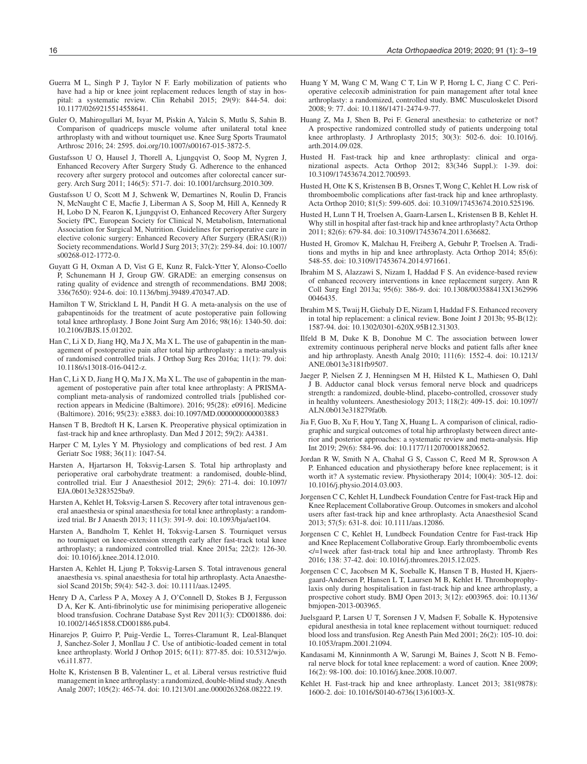- Guerra M L, Singh P J, Taylor N F. Early mobilization of patients who have had a hip or knee joint replacement reduces length of stay in hospital: a systematic review. Clin Rehabil 2015; 29(9): 844-54. doi: 10.1177/0269215514558641.
- Guler O, Mahirogullari M, Isyar M, Piskin A, Yalcin S, Mutlu S, Sahin B. Comparison of quadriceps muscle volume after unilateral total knee arthroplasty with and without tourniquet use. Knee Surg Sports Traumatol Arthrosc 2016; 24: 2595. doi.org/10.1007/s00167-015-3872-5.
- Gustafsson U O, Hausel J, Thorell A, Ljungqvist O, Soop M, Nygren J, Enhanced Recovery After Surgery Study G. Adherence to the enhanced recovery after surgery protocol and outcomes after colorectal cancer surgery. Arch Surg 2011; 146(5): 571-7. doi: 10.1001/archsurg.2010.309.
- Gustafsson U O, Scott M J, Schwenk W, Demartines N, Roulin D, Francis N, McNaught C E, Macfie J, Liberman A S, Soop M, Hill A, Kennedy R H, Lobo D N, Fearon K, Ljungqvist O, Enhanced Recovery After Surgery Society fPC, European Society for Clinical N, Metabolism, International Association for Surgical M, Nutrition. Guidelines for perioperative care in elective colonic surgery: Enhanced Recovery After Surgery (ERAS((R))) Society recommendations. World J Surg 2013; 37(2): 259-84. doi: 10.1007/ s00268-012-1772-0.
- Guyatt G H, Oxman A D, Vist G E, Kunz R, Falck-Ytter Y, Alonso-Coello P, Schunemann H J, Group GW. GRADE: an emerging consensus on rating quality of evidence and strength of recommendations. BMJ 2008; 336(7650): 924-6. doi: 10.1136/bmj.39489.470347.AD.
- Hamilton T W, Strickland L H, Pandit H G. A meta-analysis on the use of gabapentinoids for the treatment of acute postoperative pain following total knee arthroplasty. J Bone Joint Surg Am 2016; 98(16): 1340-50. doi: 10.2106/JBJS.15.01202.
- Han C, Li X D, Jiang HQ, Ma J X, Ma X L. The use of gabapentin in the management of postoperative pain after total hip arthroplasty: a meta-analysis of randomised controlled trials. J Orthop Surg Res 2016a; 11(1): 79. doi: 10.1186/s13018-016-0412-z.
- Han C, Li X D, Jiang H Q, Ma J X, Ma X L. The use of gabapentin in the management of postoperative pain after total knee arthroplasty: A PRISMAcompliant meta-analysis of randomized controlled trials [published correction appears in Medicine (Baltimore). 2016; 95(28): e0916]. Medicine (Baltimore). 2016; 95(23): e3883. doi:10.1097/MD.0000000000003883
- Hansen T B, Bredtoft H K, Larsen K. Preoperative physical optimization in fast-track hip and knee arthroplasty. Dan Med J 2012; 59(2): A4381.
- Harper C M, Lyles Y M. Physiology and complications of bed rest. J Am Geriatr Soc 1988; 36(11): 1047-54.
- Harsten A, Hjartarson H, Toksvig-Larsen S. Total hip arthroplasty and perioperative oral carbohydrate treatment: a randomised, double-blind, controlled trial. Eur J Anaesthesiol 2012; 29(6): 271-4. doi: 10.1097/ EJA.0b013e3283525ba9.
- Harsten A, Kehlet H, Toksvig-Larsen S. Recovery after total intravenous general anaesthesia or spinal anaesthesia for total knee arthroplasty: a randomized trial. Br J Anaesth 2013; 111(3): 391-9. doi: 10.1093/bja/aet104.
- Harsten A, Bandholm T, Kehlet H, Toksvig-Larsen S. Tourniquet versus no tourniquet on knee-extension strength early after fast-track total knee arthroplasty; a randomized controlled trial. Knee 2015a; 22(2): 126-30. doi: 10.1016/j.knee.2014.12.010.
- Harsten A, Kehlet H, Ljung P, Toksvig-Larsen S. Total intravenous general anaesthesia vs. spinal anaesthesia for total hip arthroplasty. Acta Anaesthesiol Scand 2015b; 59(4): 542-3. doi: 10.1111/aas.12495.
- Henry D A, Carless P A, Moxey A J, O'Connell D, Stokes B J, Fergusson D A, Ker K. Anti-fibrinolytic use for minimising perioperative allogeneic blood transfusion. Cochrane Database Syst Rev 2011(3): CD001886. doi: 10.1002/14651858.CD001886.pub4.
- Hinarejos P, Guirro P, Puig-Verdie L, Torres-Claramunt R, Leal-Blanquet J, Sanchez-Soler J, Monllau J C. Use of antibiotic-loaded cement in total knee arthroplasty. World J Orthop 2015; 6(11): 877-85. doi: 10.5312/wjo. v6.i11.877.
- Holte K, Kristensen B B, Valentiner L, et al. Liberal versus restrictive fluid management in knee arthroplasty: a randomized, double-blind study. Anesth Analg 2007; 105(2): 465-74. doi: 10.1213/01.ane.0000263268.08222.19.
- Huang Y M, Wang C M, Wang C T, Lin W P, Horng L C, Jiang C C. Perioperative celecoxib administration for pain management after total knee arthroplasty: a randomized, controlled study. BMC Musculoskelet Disord 2008; 9: 77. doi: 10.1186/1471-2474-9-77.
- Huang Z, Ma J, Shen B, Pei F. General anesthesia: to catheterize or not? A prospective randomized controlled study of patients undergoing total knee arthroplasty. J Arthroplasty 2015; 30(3): 502-6. doi: 10.1016/j. arth.2014.09.028.
- Husted H. Fast-track hip and knee arthroplasty: clinical and organizational aspects. Acta Orthop 2012; 83(346 Suppl.): 1-39. doi: 10.3109/17453674.2012.700593.
- Husted H, Otte K S, Kristensen B B, Orsnes T, Wong C, Kehlet H. Low risk of thromboembolic complications after fast-track hip and knee arthroplasty. Acta Orthop 2010; 81(5): 599-605. doi: 10.3109/17453674.2010.525196.
- Husted H, Lunn T H, Troelsen A, Gaarn-Larsen L, Kristensen B B, Kehlet H. Why still in hospital after fast-track hip and knee arthroplasty? Acta Orthop 2011; 82(6): 679-84. doi: 10.3109/17453674.2011.636682.
- Husted H, Gromov K, Malchau H, Freiberg A, Gebuhr P, Troelsen A. Traditions and myths in hip and knee arthroplasty. Acta Orthop 2014; 85(6): 548-55. doi: 10.3109/17453674.2014.971661.
- Ibrahim M S, Alazzawi S, Nizam I, Haddad F S. An evidence-based review of enhanced recovery interventions in knee replacement surgery. Ann R Coll Surg Engl 2013a; 95(6): 386-9. doi: 10.1308/003588413X1362996 0046435.
- Ibrahim M S, Twaij H, Giebaly D E, Nizam I, Haddad F S. Enhanced recovery in total hip replacement: a clinical review. Bone Joint J 2013b; 95-B(12): 1587-94. doi: 10.1302/0301-620X.95B12.31303.
- Ilfeld B M, Duke K B, Donohue M C. The association between lower extremity continuous peripheral nerve blocks and patient falls after knee and hip arthroplasty. Anesth Analg 2010; 111(6): 1552-4. doi: 10.1213/ ANE.0b013e3181fb9507.
- Jaeger P, Nielsen Z J, Henningsen M H, Hilsted K L, Mathiesen O, Dahl J B. Adductor canal block versus femoral nerve block and quadriceps strength: a randomized, double-blind, placebo-controlled, crossover study in healthy volunteers. Anesthesiology 2013; 118(2): 409-15. doi: 10.1097/ ALN.0b013e318279fa0b.
- Jia F, Guo B, Xu F, Hou Y, Tang X, Huang L. A comparison of clinical, radiographic and surgical outcomes of total hip arthroplasty between direct anterior and posterior approaches: a systematic review and meta-analysis. Hip Int 2019; 29(6): 584-96. doi: 10.1177/1120700018820652.
- Jordan R W, Smith N A, Chahal G S, Casson C, Reed M R, Sprowson A P. Enhanced education and physiotherapy before knee replacement; is it worth it? A systematic review. Physiotherapy 2014; 100(4): 305-12. doi: 10.1016/j.physio.2014.03.003.
- Jorgensen C C, Kehlet H, Lundbeck Foundation Centre for Fast-track Hip and Knee Replacement Collaborative Group. Outcomes in smokers and alcohol users after fast-track hip and knee arthroplasty. Acta Anaesthesiol Scand 2013; 57(5): 631-8. doi: 10.1111/aas.12086.
- Jorgensen C C, Kehlet H, Lundbeck Foundation Centre for Fast-track Hip and Knee Replacement Collaborative Group. Early thromboembolic events </=1week after fast-track total hip and knee arthroplasty. Thromb Res 2016; 138: 37-42. doi: 10.1016/j.thromres.2015.12.025.
- Jorgensen C C, Jacobsen M K, Soeballe K, Hansen T B, Husted H, Kjaersgaard-Andersen P, Hansen L T, Laursen M B, Kehlet H. Thromboprophylaxis only during hospitalisation in fast-track hip and knee arthroplasty, a prospective cohort study. BMJ Open 2013; 3(12): e003965. doi: 10.1136/ bmjopen-2013-003965.
- Juelsgaard P, Larsen U T, Sorensen J V, Madsen F, Soballe K. Hypotensive epidural anesthesia in total knee replacement without tourniquet: reduced blood loss and transfusion. Reg Anesth Pain Med 2001; 26(2): 105-10. doi: 10.1053/rapm.2001.21094.
- Kandasami M, Kinninmonth A W, Sarungi M, Baines J, Scott N B. Femoral nerve block for total knee replacement: a word of caution. Knee 2009; 16(2): 98-100. doi: 10.1016/j.knee.2008.10.007.
- Kehlet H. Fast-track hip and knee arthroplasty. Lancet 2013; 381(9878): 1600-2. doi: 10.1016/S0140-6736(13)61003-X.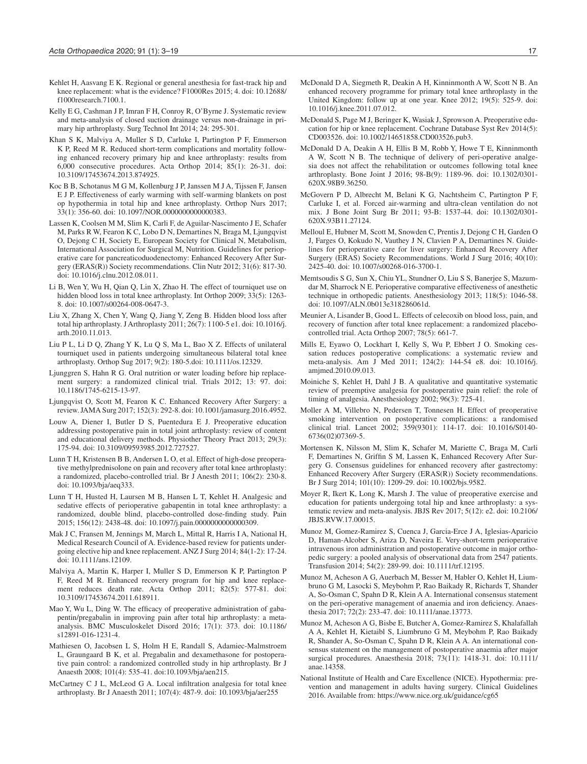- Kehlet H, Aasvang E K. Regional or general anesthesia for fast-track hip and knee replacement: what is the evidence? F1000Res 2015; 4. doi: 10.12688/ f1000research.7100.1.
- Kelly E G, Cashman J P, Imran F H, Conroy R, O'Byrne J. Systematic review and meta-analysis of closed suction drainage versus non-drainage in primary hip arthroplasty. Surg Technol Int 2014; 24: 295-301.
- Khan S K, Malviya A, Muller S D, Carluke I, Partington P F, Emmerson K P, Reed M R. Reduced short-term complications and mortality following enhanced recovery primary hip and knee arthroplasty: results from 6,000 consecutive procedures. Acta Orthop 2014; 85(1): 26-31. doi: 10.3109/17453674.2013.874925.
- Koc B B, Schotanus M G M, Kollenburg J P, Janssen M J A, Tijssen F, Jansen E J P. Effectiveness of early warming with self-warming blankets on post op hypothermia in total hip and knee arthroplasty. Orthop Nurs 2017; 33(1): 356-60. doi: 10.1097/NOR.0000000000000383.
- Lassen K, Coolsen M M, Slim K, Carli F, de Aguilar-Nascimento J E, Schafer M, Parks R W, Fearon K C, Lobo D N, Demartines N, Braga M, Ljungqvist O, Dejong C H, Society E, European Society for Clinical N, Metabolism, International Association for Surgical M, Nutrition. Guidelines for perioperative care for pancreaticoduodenectomy: Enhanced Recovery After Surgery (ERAS(R)) Society recommendations. Clin Nutr 2012; 31(6): 817-30. doi: 10.1016/j.clnu.2012.08.011.
- Li B, Wen Y, Wu H, Qian Q, Lin X, Zhao H. The effect of tourniquet use on hidden blood loss in total knee arthroplasty. Int Orthop 2009; 33(5): 1263- 8. doi: 10.1007/s00264-008-0647-3.
- Liu X, Zhang X, Chen Y, Wang Q, Jiang Y, Zeng B. Hidden blood loss after total hip arthroplasty. J Arthroplasty 2011; 26(7): 1100-5 e1. doi: 10.1016/j. arth.2010.11.013.
- Liu P L, Li D Q, Zhang Y K, Lu Q S, Ma L, Bao X Z. Effects of unilateral tourniquet used in patients undergoing simultaneous bilateral total knee arthroplasty. Orthop Sug 2017; 9(2): 180-5.doi: 10.1111/os.12329.
- Ljunggren S, Hahn R G. Oral nutrition or water loading before hip replacement surgery: a randomized clinical trial. Trials 2012; 13: 97. doi: 10.1186/1745-6215-13-97.
- Ljungqvist O, Scott M, Fearon K C. Enhanced Recovery After Surgery: a review. JAMA Surg 2017; 152(3): 292-8. doi: 10.1001/jamasurg.2016.4952.
- Louw A, Diener I, Butler D S, Puentedura E J. Preoperative education addressing postoperative pain in total joint arthroplasty: review of content and educational delivery methods. Physiother Theory Pract 2013; 29(3): 175-94. doi: 10.3109/09593985.2012.727527.
- Lunn T H, Kristensen B B, Andersen L O, et al. Effect of high-dose preoperative methylprednisolone on pain and recovery after total knee arthroplasty: a randomized, placebo-controlled trial. Br J Anesth 2011; 106(2): 230-8. doi: 10.1093/bja/aeq333.
- Lunn T H, Husted H, Laursen M B, Hansen L T, Kehlet H. Analgesic and sedative effects of perioperative gabapentin in total knee arthroplasty: a randomized, double blind, placebo-controlled dose-finding study. Pain 2015; 156(12): 2438-48. doi: 10.1097/j.pain.0000000000000309.
- Mak J C, Fransen M, Jennings M, March L, Mittal R, Harris I A, National H, Medical Research Council of A. Evidence-based review for patients undergoing elective hip and knee replacement. ANZ J Surg 2014; 84(1-2): 17-24. doi: 10.1111/ans.12109.
- Malviya A, Martin K, Harper I, Muller S D, Emmerson K P, Partington P F, Reed M R. Enhanced recovery program for hip and knee replacement reduces death rate. Acta Orthop 2011; 82(5): 577-81. doi: 10.3109/17453674.2011.618911.
- Mao Y, Wu L, Ding W. The efficacy of preoperative administration of gabapentin/pregabalin in improving pain after total hip arthroplasty: a metaanalysis. BMC Musculoskelet Disord 2016; 17(1): 373. doi: 10.1186/ s12891-016-1231-4.
- Mathiesen O, Jacobsen L S, Holm H E, Randall S, Adamiec-Malmstroem L, Graungaard B K, et al. Pregabalin and dexamethasone for postoperative pain control: a randomized controlled study in hip arthroplasty. Br J Anaesth 2008; 101(4): 535-41. doi:10.1093/bja/aen215.
- McCartney C J L, McLeod G A. Local infiltration analgesia for total knee arthroplasty. Br J Anaesth 2011; 107(4): 487-9. doi: 10.1093/bja/aer255
- McDonald D A, Siegmeth R, Deakin A H, Kinninmonth A W, Scott N B. An enhanced recovery programme for primary total knee arthroplasty in the United Kingdom: follow up at one year. Knee 2012; 19(5): 525-9. doi: 10.1016/j.knee.2011.07.012.
- McDonald S, Page M J, Beringer K, Wasiak J, Sprowson A. Preoperative education for hip or knee replacement. Cochrane Database Syst Rev 2014(5): CD003526. doi: 10.1002/14651858.CD003526.pub3.
- McDonald D A, Deakin A H, Ellis B M, Robb Y, Howe T E, Kinninmonth A W, Scott N B. The technique of delivery of peri-operative analgesia does not affect the rehabilitation or outcomes following total knee arthroplasty. Bone Joint J 2016; 98-B(9): 1189-96. doi: 10.1302/0301- 620X.98B9.36250.
- McGovern P D, Albrecht M, Belani K G, Nachtsheim C, Partington P F, Carluke I, et al. Forced air-warming and ultra-clean ventilation do not mix. J Bone Joint Surg Br 2011; 93-B: 1537-44. doi: 10.1302/0301- 620X.93B11.27124.
- Melloul E, Hubner M, Scott M, Snowden C, Prentis J, Dejong C H, Garden O J, Farges O, Kokudo N, Vauthey J N, Clavien P A, Demartines N. Guidelines for perioperative care for liver surgery: Enhanced Recovery After Surgery (ERAS) Society Recommendations. World J Surg 2016; 40(10): 2425-40. doi: 10.1007/s00268-016-3700-1.
- Memtsoudis S G, Sun X, Chiu YL, Stundner O, Liu S S, Banerjee S, Mazumdar M, Sharrock N E. Perioperative comparative effectiveness of anesthetic technique in orthopedic patients. Anesthesiology 2013; 118(5): 1046-58. doi: 10.1097/ALN.0b013e318286061d.
- Meunier A, Lisander B, Good L. Effects of celecoxib on blood loss, pain, and recovery of function after total knee replacement: a randomized placebocontrolled trial. Acta Orthop 2007; 78(5): 661-7.
- Mills E, Eyawo O, Lockhart I, Kelly S, Wu P, Ebbert J O. Smoking cessation reduces postoperative complications: a systematic review and meta-analysis. Am J Med 2011; 124(2): 144-54 e8. doi: 10.1016/j. amjmed.2010.09.013.
- Moiniche S, Kehlet H, Dahl J B. A qualitative and quantitative systematic review of preemptive analgesia for postoperative pain relief: the role of timing of analgesia. Anesthesiology 2002; 96(3): 725-41.
- Moller A M, Villebro N, Pedersen T, Tonnesen H. Effect of preoperative smoking intervention on postoperative complications: a randomised clinical trial. Lancet 2002; 359(9301): 114-17. doi: 10.1016/S0140- 6736(02)07369-5.
- Mortensen K, Nilsson M, Slim K, Schafer M, Mariette C, Braga M, Carli F, Demartines N, Griffin S M, Lassen K, Enhanced Recovery After Surgery G. Consensus guidelines for enhanced recovery after gastrectomy: Enhanced Recovery After Surgery (ERAS(R)) Society recommendations. Br J Surg 2014; 101(10): 1209-29. doi: 10.1002/bjs.9582.
- Moyer R, Ikert K, Long K, Marsh J. The value of preoperative exercise and education for patients undergoing total hip and knee arthroplasty: a systematic review and meta-analysis. JBJS Rev 2017; 5(12): e2. doi: 10.2106/ JBJS.RVW.17.00015.
- Munoz M, Gomez-Ramirez S, Cuenca J, Garcia-Erce J A, Iglesias-Aparicio D, Haman-Alcober S, Ariza D, Naveira E. Very-short-term perioperative intravenous iron administration and postoperative outcome in major orthopedic surgery: a pooled analysis of observational data from 2547 patients. Transfusion 2014; 54(2): 289-99. doi: 10.1111/trf.12195.
- Munoz M, Acheson A G, Auerbach M, Besser M, Habler O, Kehlet H, Liumbruno G M, Lasocki S, Meybohm P, Rao Baikady R, Richards T, Shander A, So-Osman C, Spahn D R, Klein A A. International consensus statement on the peri-operative management of anaemia and iron deficiency. Anaesthesia 2017; 72(2): 233-47. doi: 10.1111/anae.13773.
- Munoz M, Acheson A G, Bisbe E, Butcher A, Gomez-Ramirez S, Khalafallah A A, Kehlet H, Kietaibl S, Liumbruno G M, Meybohm P, Rao Baikady R, Shander A, So-Osman C, Spahn D R, Klein A A. An international consensus statement on the management of postoperative anaemia after major surgical procedures. Anaesthesia 2018; 73(11): 1418-31. doi: 10.1111/ anae.14358.
- National Institute of Health and Care Excellence (NICE). Hypothermia: prevention and management in adults having surgery. Clinical Guidelines 2016. Available from: https://www.nice.org.uk/guidance/cg65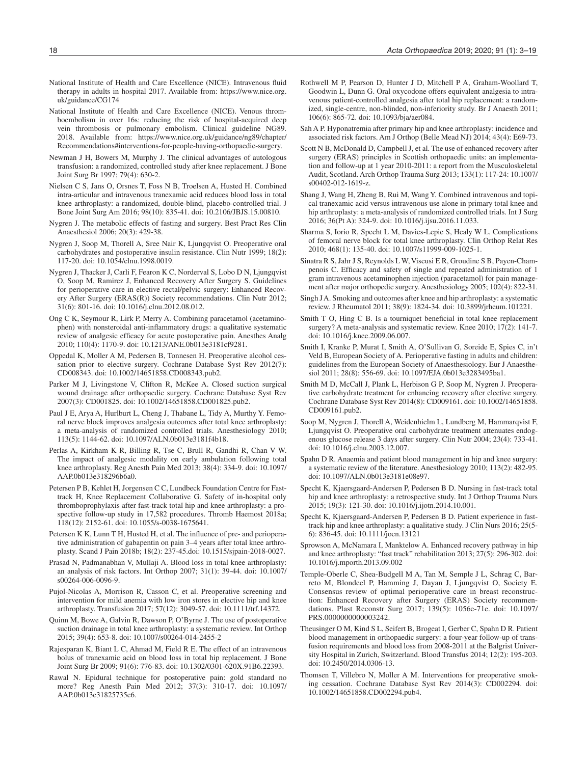- National Institute of Health and Care Excellence (NICE). Intravenous fluid therapy in adults in hospital 2017. Available from: https://www.nice.org. uk/guidance/CG174
- National Institute of Health and Care Excellence (NICE). Venous thromboembolism in over 16s: reducing the risk of hospital-acquired deep vein thrombosis or pulmonary embolism. Clinical guideline NG89. 2018. Available from: https://www.nice.org.uk/guidance/ng89/chapter/ Recommendations#interventions-for-people-having-orthopaedic-surgery.
- Newman J H, Bowers M, Murphy J. The clinical advantages of autologous transfusion: a randomized, controlled study after knee replacement. J Bone Joint Surg Br 1997; 79(4): 630-2.
- Nielsen C S, Jans O, Orsnes T, Foss N B, Troelsen A, Husted H. Combined intra-articular and intravenous tranexamic acid reduces blood loss in total knee arthroplasty: a randomized, double-blind, placebo-controlled trial. J Bone Joint Surg Am 2016; 98(10): 835-41. doi: 10.2106/JBJS.15.00810.
- Nygren J. The metabolic effects of fasting and surgery. Best Pract Res Clin Anaesthesiol 2006; 20(3): 429-38.
- Nygren J, Soop M, Thorell A, Sree Nair K, Ljungqvist O. Preoperative oral carbohydrates and postoperative insulin resistance. Clin Nutr 1999; 18(2): 117-20. doi: 10.1054/clnu.1998.0019.
- Nygren J, Thacker J, Carli F, Fearon K C, Norderval S, Lobo D N, Ljungqvist O, Soop M, Ramirez J, Enhanced Recovery After Surgery S. Guidelines for perioperative care in elective rectal/pelvic surgery: Enhanced Recovery After Surgery (ERAS(R)) Society recommendations. Clin Nutr 2012; 31(6): 801-16. doi: 10.1016/j.clnu.2012.08.012.
- Ong C K, Seymour R, Lirk P, Merry A. Combining paracetamol (acetaminophen) with nonsteroidal anti-inflammatory drugs: a qualitative systematic review of analgesic efficacy for acute postoperative pain. Anesthes Analg 2010; 110(4): 1170-9. doi: 10.1213/ANE.0b013e3181cf9281.
- Oppedal K, Moller A M, Pedersen B, Tonnesen H. Preoperative alcohol cessation prior to elective surgery. Cochrane Database Syst Rev 2012(7): CD008343. doi: 10.1002/14651858.CD008343.pub2.
- Parker M J, Livingstone V, Clifton R, McKee A. Closed suction surgical wound drainage after orthopaedic surgery. Cochrane Database Syst Rev 2007(3): CD001825. doi: 10.1002/14651858.CD001825.pub2.
- Paul J E, Arya A, Hurlburt L, Cheng J, Thabane L, Tidy A, Murthy Y. Femoral nerve block improves analgesia outcomes after total knee arthroplasty: a meta-analysis of randomized controlled trials. Anesthesiology 2010; 113(5): 1144-62. doi: 10.1097/ALN.0b013e3181f4b18.
- Perlas A, Kirkham K R, Billing R, Tse C, Brull R, Gandhi R, Chan V W. The impact of analgesic modality on early ambulation following total knee arthroplasty. Reg Anesth Pain Med 2013; 38(4): 334-9. doi: 10.1097/ AAP.0b013e318296b6a0.
- Petersen P B, Kehlet H, Jorgensen C C, Lundbeck Foundation Centre for Fasttrack H, Knee Replacement Collaborative G. Safety of in-hospital only thromboprophylaxis after fast-track total hip and knee arthroplasty: a prospective follow-up study in 17,582 procedures. Thromb Haemost 2018a; 118(12): 2152-61. doi: 10.1055/s-0038-1675641.
- Petersen K K, Lunn T H, Husted H, et al. The influence of pre- and perioperative administration of gabapentin on pain 3–4 years after total knee arthroplasty. Scand J Pain 2018b; 18(2): 237-45.doi: 10.1515/sjpain-2018-0027.
- Prasad N, Padmanabhan V, Mullaji A. Blood loss in total knee arthroplasty: an analysis of risk factors. Int Orthop 2007; 31(1): 39-44. doi: 10.1007/ s00264-006-0096-9.
- Pujol-Nicolas A, Morrison R, Casson C, et al. Preoperative screening and intervention for mild anemia with low iron stores in elective hip and knee arthroplasty. Transfusion 2017; 57(12): 3049-57. doi: 10.1111/trf.14372.
- Quinn M, Bowe A, Galvin R, Dawson P, O'Byrne J. The use of postoperative suction drainage in total knee arthroplasty: a systematic review. Int Orthop 2015; 39(4): 653-8. doi: 10.1007/s00264-014-2455-2
- Rajesparan K, Biant L C, Ahmad M, Field R E. The effect of an intravenous bolus of tranexamic acid on blood loss in total hip replacement. J Bone Joint Surg Br 2009; 91(6): 776-83. doi: 10.1302/0301-620X.91B6.22393.
- Rawal N. Epidural technique for postoperative pain: gold standard no more? Reg Anesth Pain Med 2012; 37(3): 310-17. doi: 10.1097/ AAP.0b013e31825735c6.
- Rothwell M P, Pearson D, Hunter J D, Mitchell P A, Graham-Woollard T, Goodwin L, Dunn G. Oral oxycodone offers equivalent analgesia to intravenous patient-controlled analgesia after total hip replacement: a randomized, single-centre, non-blinded, non-inferiority study. Br J Anaesth 2011; 106(6): 865-72. doi: 10.1093/bja/aer084.
- Sah A P. Hyponatremia after primary hip and knee arthroplasty: incidence and associated risk factors. Am J Orthop (Belle Mead NJ) 2014; 43(4): E69-73.
- Scott N B, McDonald D, Campbell J, et al. The use of enhanced recovery after surgery (ERAS) principles in Scottish orthopaedic units: an implementation and follow-up at 1 year 2010-2011: a report from the Musculoskeletal Audit, Scotland. Arch Orthop Trauma Surg 2013; 133(1): 117-24: 10.1007/ s00402-012-1619-z.
- Shang J, Wang H, Zheng B, Rui M, Wang Y. Combined intravenous and topical tranexamic acid versus intravenous use alone in primary total knee and hip arthroplasty: a meta-analysis of randomized controlled trials. Int J Surg 2016; 36(Pt A): 324-9. doi: 10.1016/j.ijsu.2016.11.033.
- Sharma S, Iorio R, Specht L M, Davies-Lepie S, Healy W L. Complications of femoral nerve block for total knee arthroplasty. Clin Orthop Relat Res 2010; 468(1): 135-40. doi: 10.1007/s11999-009-1025-1.
- Sinatra R S, Jahr J S, Reynolds L W, Viscusi E R, Groudine S B, Payen-Champenois C. Efficacy and safety of single and repeated administration of 1 gram intravenous acetaminophen injection (paracetamol) for pain management after major orthopedic surgery. Anesthesiology 2005; 102(4): 822-31.
- Singh J A. Smoking and outcomes after knee and hip arthroplasty: a systematic review. J Rheumatol 2011; 38(9): 1824-34. doi: 10.3899/jrheum.101221.
- Smith T O, Hing C B. Is a tourniquet beneficial in total knee replacement surgery? A meta-analysis and systematic review. Knee 2010; 17(2): 141-7. doi: 10.1016/j.knee.2009.06.007.
- Smith I, Kranke P, Murat I, Smith A, O'Sullivan G, Soreide E, Spies C, in't Veld B, European Society of A. Perioperative fasting in adults and children: guidelines from the European Society of Anaesthesiology. Eur J Anaesthesiol 2011; 28(8): 556-69. doi: 10.1097/EJA.0b013e3283495ba1.
- Smith M D, McCall J, Plank L, Herbison G P, Soop M, Nygren J. Preoperative carbohydrate treatment for enhancing recovery after elective surgery. Cochrane Database Syst Rev 2014(8): CD009161. doi: 10.1002/14651858. CD009161.pub2.
- Soop M, Nygren J, Thorell A, Weidenhielm L, Lundberg M, Hammarqvist F, Ljungqvist O. Preoperative oral carbohydrate treatment attenuates endogenous glucose release 3 days after surgery. Clin Nutr 2004; 23(4): 733-41. doi: 10.1016/j.clnu.2003.12.007.
- Spahn D R. Anaemia and patient blood management in hip and knee surgery: a systematic review of the literature. Anesthesiology 2010; 113(2): 482-95. doi: 10.1097/ALN.0b013e3181e08e97.
- Specht K, Kjaersgaard-Andersen P, Pedersen B D. Nursing in fast-track total hip and knee arthroplasty: a retrospective study. Int J Orthop Trauma Nurs 2015; 19(3): 121-30. doi: 10.1016/j.ijotn.2014.10.001.
- Specht K, Kjaersgaard-Andersen P, Pedersen B D. Patient experience in fasttrack hip and knee arthroplasty: a qualitative study. J Clin Nurs 2016; 25(5- 6): 836-45. doi: 10.1111/jocn.13121
- Sprowson A, McNamara I, Manktelow A. Enhanced recovery pathway in hip and knee arthroplasty: "fast track" rehabilitation 2013; 27(5): 296-302. doi: 10.1016/j.mporth.2013.09.002
- Temple-Oberle C, Shea-Budgell M A, Tan M, Semple J L, Schrag C, Barreto M, Blondeel P, Hamming J, Dayan J, Ljungqvist O, Society E. Consensus review of optimal perioperative care in breast reconstruction: Enhanced Recovery after Surgery (ERAS) Society recommendations. Plast Reconstr Surg 2017; 139(5): 1056e-71e. doi: 10.1097/ PRS.0000000000003242.
- Theusinger O M, Kind S L, Seifert B, Brogeat I, Gerber C, Spahn D R. Patient blood management in orthopaedic surgery: a four-year follow-up of transfusion requirements and blood loss from 2008-2011 at the Balgrist University Hospital in Zurich, Switzerland. Blood Transfus 2014; 12(2): 195-203. doi: 10.2450/2014.0306-13.
- Thomsen T, Villebro N, Moller A M. Interventions for preoperative smoking cessation. Cochrane Database Syst Rev 2014(3): CD002294. doi: 10.1002/14651858.CD002294.pub4.